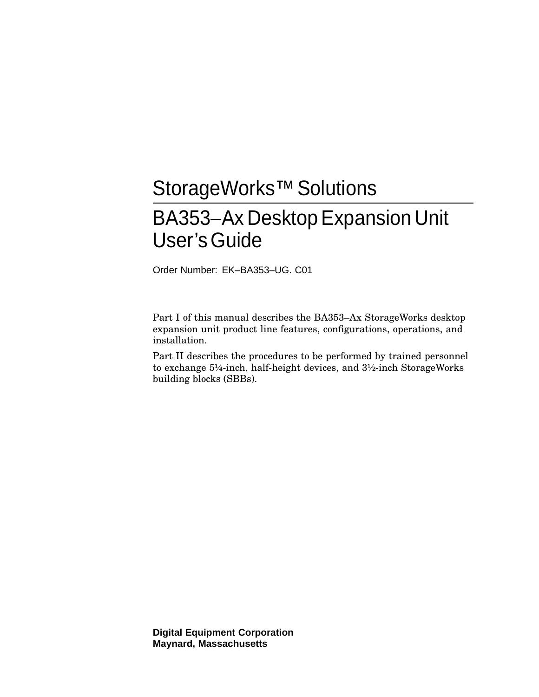# StorageWorks<sup>™</sup> Solutions

# BA353–Ax DesktopExpansion Unit User'sGuide

Order Number: EK–BA353–UG. C01

Part I of this manual describes the BA353–Ax StorageWorks desktop expansion unit product line features, configurations, operations, and installation.

Part II describes the procedures to be performed by trained personnel to exchange 5¼-inch, half-height devices, and 3½-inch StorageWorks building blocks (SBBs).

**Digital Equipment Corporation Maynard, Massachusetts**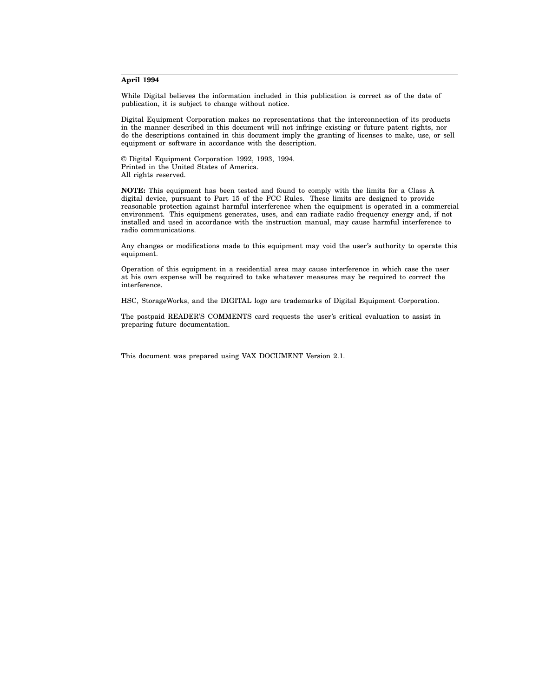#### **April 1994**

While Digital believes the information included in this publication is correct as of the date of publication, it is subject to change without notice.

Digital Equipment Corporation makes no representations that the interconnection of its products in the manner described in this document will not infringe existing or future patent rights, nor do the descriptions contained in this document imply the granting of licenses to make, use, or sell equipment or software in accordance with the description.

© Digital Equipment Corporation 1992, 1993, 1994. Printed in the United States of America. All rights reserved.

**NOTE:** This equipment has been tested and found to comply with the limits for a Class A digital device, pursuant to Part 15 of the FCC Rules. These limits are designed to provide reasonable protection against harmful interference when the equipment is operated in a commercial environment. This equipment generates, uses, and can radiate radio frequency energy and, if not installed and used in accordance with the instruction manual, may cause harmful interference to radio communications.

Any changes or modifications made to this equipment may void the user's authority to operate this equipment.

Operation of this equipment in a residential area may cause interference in which case the user at his own expense will be required to take whatever measures may be required to correct the interference.

HSC, StorageWorks, and the DIGITAL logo are trademarks of Digital Equipment Corporation.

The postpaid READER'S COMMENTS card requests the user's critical evaluation to assist in preparing future documentation.

This document was prepared using VAX DOCUMENT Version 2.1.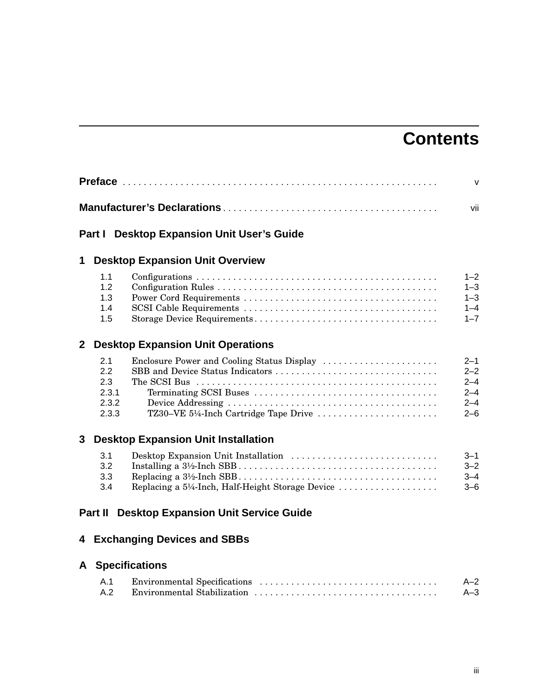# **Contents**

|                |                                              |                                                                                                                        | $\mathsf{V}$                                                   |
|----------------|----------------------------------------------|------------------------------------------------------------------------------------------------------------------------|----------------------------------------------------------------|
|                |                                              |                                                                                                                        | vii                                                            |
|                |                                              | <b>Part I</b> Desktop Expansion Unit User's Guide                                                                      |                                                                |
| 1              |                                              | <b>Desktop Expansion Unit Overview</b>                                                                                 |                                                                |
|                | 1.1<br>1.2<br>1.3<br>1.4<br>1.5              |                                                                                                                        | 1–2<br>$1 - 3$<br>$1 - 3$<br>$1 - 4$<br>$1 - 7$                |
| $\overline{2}$ |                                              | <b>Desktop Expansion Unit Operations</b>                                                                               |                                                                |
|                | 2.1<br>2.2<br>2.3<br>2.3.1<br>2.3.2<br>2.3.3 | Enclosure Power and Cooling Status Display<br>SBB and Device Status Indicators<br>TZ30-VE 5¼-Inch Cartridge Tape Drive | $2 - 1$<br>$2 - 2$<br>$2 - 4$<br>$2 - 4$<br>$2 - 4$<br>$2 - 6$ |
| 3              |                                              | <b>Desktop Expansion Unit Installation</b>                                                                             |                                                                |
|                | 3.1<br>3.2<br>3.3<br>3.4                     | Desktop Expansion Unit Installation<br>Replacing a 5¼-Inch, Half-Height Storage Device                                 | $3 - 1$<br>$3 - 2$<br>$3 - 4$<br>$3 - 6$                       |
|                | Part II                                      | <b>Desktop Expansion Unit Service Guide</b>                                                                            |                                                                |
|                |                                              | 4 Exchanging Devices and SBBs                                                                                          |                                                                |
| A              |                                              | <b>Specifications</b>                                                                                                  |                                                                |
|                | A.1<br>A.2                                   |                                                                                                                        | $A - 2$<br>$A-3$                                               |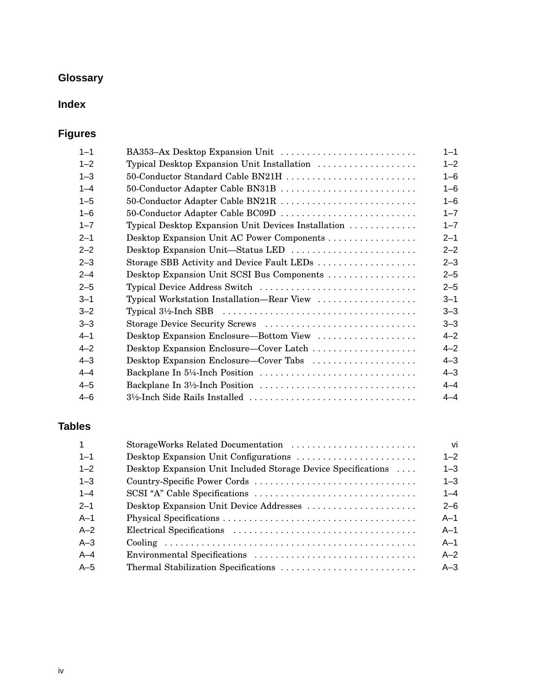# **Glossary**

# **Index**

# **Figures**

| $1 - 1$ | BA353-Ax Desktop Expansion Unit                     | $1 - 1$ |
|---------|-----------------------------------------------------|---------|
| $1 - 2$ | Typical Desktop Expansion Unit Installation         | $1 - 2$ |
| $1 - 3$ | 50-Conductor Standard Cable BN21H                   | $1 - 6$ |
| $1 - 4$ | 50-Conductor Adapter Cable BN31B                    | $1 - 6$ |
| $1 - 5$ | 50-Conductor Adapter Cable BN21R                    | $1 - 6$ |
| $1 - 6$ | 50-Conductor Adapter Cable BC09D                    | $1 - 7$ |
| $1 - 7$ | Typical Desktop Expansion Unit Devices Installation | $1 - 7$ |
| $2 - 1$ |                                                     | $2 - 1$ |
| $2 - 2$ | Desktop Expansion Unit-Status LED                   | $2 - 2$ |
| $2 - 3$ | Storage SBB Activity and Device Fault LEDs          | $2 - 3$ |
| $2 - 4$ | Desktop Expansion Unit SCSI Bus Components          | $2 - 5$ |
| $2 - 5$ | Typical Device Address Switch                       | $2 - 5$ |
| $3 - 1$ | Typical Workstation Installation—Rear View          | $3 - 1$ |
| $3 - 2$ |                                                     | $3 - 3$ |
| $3 - 3$ | Storage Device Security Screws                      | $3 - 3$ |
| $4 - 1$ | Desktop Expansion Enclosure—Bottom View             | $4 - 2$ |
| $4 - 2$ | Desktop Expansion Enclosure-Cover Latch             | $4 - 2$ |
| $4 - 3$ | Desktop Expansion Enclosure—Cover Tabs              | $4 - 3$ |
| $4 - 4$ | Backplane In 5¼-Inch Position                       | $4 - 3$ |
| $4 - 5$ | Backplane In 3½-Inch Position                       | $4 - 4$ |
| $4 - 6$ | 3½-Inch Side Rails Installed                        | $4 - 4$ |

# **Tables**

| StorageWorks Related Documentation                            | vi      |
|---------------------------------------------------------------|---------|
|                                                               | $1 - 2$ |
| Desktop Expansion Unit Included Storage Device Specifications | $1 - 3$ |
|                                                               | $1 - 3$ |
|                                                               | $1 - 4$ |
| Desktop Expansion Unit Device Addresses                       | $2 - 6$ |
|                                                               | $A-1$   |
|                                                               | $A-1$   |
|                                                               | $A-1$   |
|                                                               | $A-2$   |
|                                                               | $A-3$   |
|                                                               |         |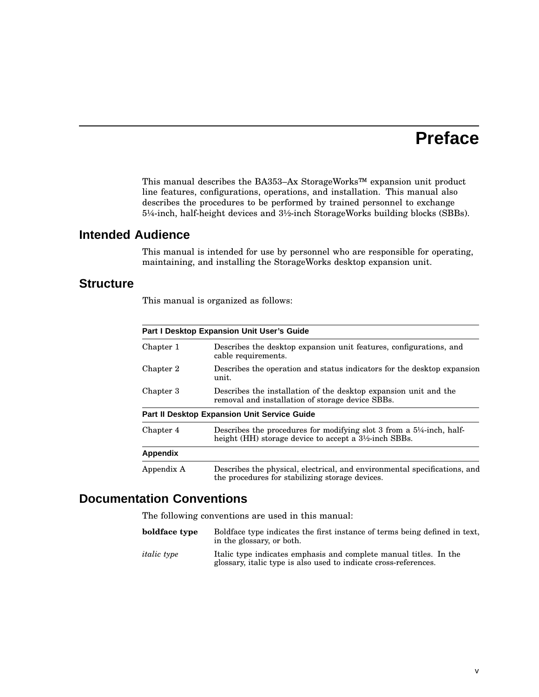# **Preface**

This manual describes the BA353–Ax StorageWorks™ expansion unit product line features, configurations, operations, and installation. This manual also describes the procedures to be performed by trained personnel to exchange 5¼-inch, half-height devices and 3½-inch StorageWorks building blocks (SBBs).

# **Intended Audience**

This manual is intended for use by personnel who are responsible for operating, maintaining, and installing the StorageWorks desktop expansion unit.

### **Structure**

This manual is organized as follows:

| <b>Part I Desktop Expansion Unit User's Guide</b> |                                                                                                                                                                      |  |  |
|---------------------------------------------------|----------------------------------------------------------------------------------------------------------------------------------------------------------------------|--|--|
| Chapter 1                                         | Describes the desktop expansion unit features, configurations, and<br>cable requirements.                                                                            |  |  |
| Chapter 2                                         | Describes the operation and status indicators for the desktop expansion<br>unit.                                                                                     |  |  |
| Chapter 3                                         | Describes the installation of the desktop expansion unit and the<br>removal and installation of storage device SBBs.                                                 |  |  |
|                                                   | <b>Part II Desktop Expansion Unit Service Guide</b>                                                                                                                  |  |  |
| Chapter 4                                         | Describes the procedures for modifying slot 3 from a $5\frac{1}{4}$ -inch, half-<br>height (HH) storage device to accept a 3 <sup>1</sup> / <sub>2</sub> -inch SBBs. |  |  |
| Appendix                                          |                                                                                                                                                                      |  |  |
| Appendix A                                        | Describes the physical, electrical, and environmental specifications, and<br>the procedures for stabilizing storage devices.                                         |  |  |

### **Documentation Conventions**

The following conventions are used in this manual:

| boldface type      | Boldface type indicates the first instance of terms being defined in text,<br>in the glossary, or both.                               |
|--------------------|---------------------------------------------------------------------------------------------------------------------------------------|
| <i>italic</i> type | Italic type indicates emphasis and complete manual titles. In the<br>glossary, italic type is also used to indicate cross-references. |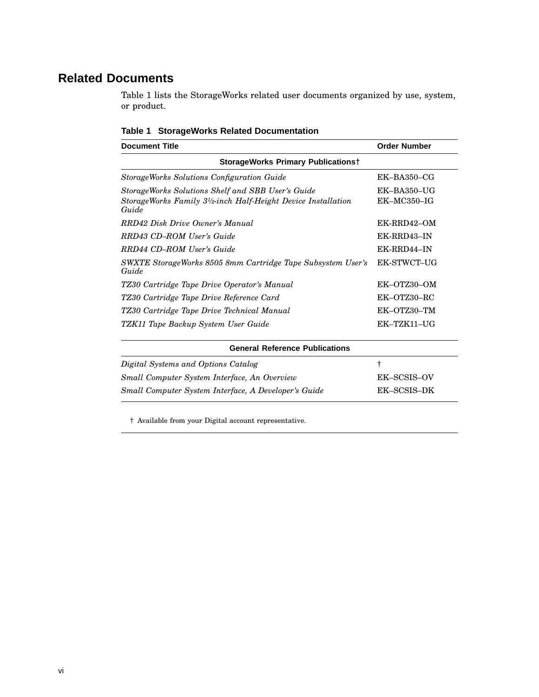# **Related Documents**

Table 1 lists the StorageWorks related user documents organized by use, system, or product.

| <b>Document Title</b>                                                                                                                                 | <b>Order Number</b>            |  |  |  |
|-------------------------------------------------------------------------------------------------------------------------------------------------------|--------------------------------|--|--|--|
| <b>StorageWorks Primary Publicationst</b>                                                                                                             |                                |  |  |  |
| StorageWorks Solutions Configuration Guide                                                                                                            | $EK-BA350-CG$                  |  |  |  |
| StorageWorks Solutions Shelf and SBB User's Guide<br>StorageWorks Family 3 <sup>1</sup> / <sub>2</sub> -inch Half-Height Device Installation<br>Guide | $EK-BA350-UG$<br>$EK-MC350-IG$ |  |  |  |
| RRD42 Disk Drive Owner's Manual                                                                                                                       | EK-RRD42-OM                    |  |  |  |
| RRD43 CD-ROM User's Guide                                                                                                                             | EK-RRD43-IN                    |  |  |  |
| RRD44 CD-ROM User's Guide                                                                                                                             | EK-RRD44-IN                    |  |  |  |
| SWXTE StorageWorks 8505 8mm Cartridge Tape Subsystem User's<br>Guide                                                                                  | <b>EK-STWCT-UG</b>             |  |  |  |
| TZ30 Cartridge Tape Drive Operator's Manual                                                                                                           | EK-OTZ30-OM                    |  |  |  |
| TZ30 Cartridge Tape Drive Reference Card                                                                                                              | EK-OTZ30-RC                    |  |  |  |
| TZ30 Cartridge Tape Drive Technical Manual                                                                                                            | EK-OTZ30-TM                    |  |  |  |
| TZK11 Tape Backup System User Guide                                                                                                                   | EK-TZK11-UG                    |  |  |  |
| <b>General Reference Publications</b>                                                                                                                 |                                |  |  |  |
| Digital Systems and Options Catalog                                                                                                                   | ŧ                              |  |  |  |
| Small Computer System Interface, An Overview                                                                                                          | EK-SCSIS-OV                    |  |  |  |
| Small Computer System Interface, A Developer's Guide                                                                                                  | EK-SCSIS-DK                    |  |  |  |

**Table 1 StorageWorks Related Documentation**

† Available from your Digital account representative.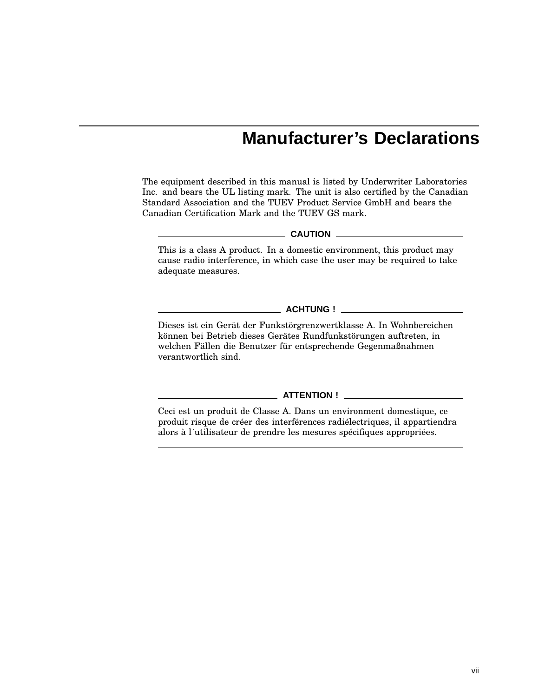# **Manufacturer's Declarations**

The equipment described in this manual is listed by Underwriter Laboratories Inc. and bears the UL listing mark. The unit is also certified by the Canadian Standard Association and the TUEV Product Service GmbH and bears the Canadian Certification Mark and the TUEV GS mark.

#### **CAUTION**

This is a class A product. In a domestic environment, this product may cause radio interference, in which case the user may be required to take adequate measures.

### **ACHTUNG !**

Dieses ist ein Gerät der Funkstörgrenzwertklasse A. In Wohnbereichen können bei Betrieb dieses Gerätes Rundfunkstörungen auftreten, in welchen Fällen die Benutzer für entsprechende Gegenmaßnahmen verantwortlich sind.

### **ATTENTION !**

Ceci est un produit de Classe A. Dans un environment domestique, ce produit risque de créer des interférences radiélectriques, il appartiendra alors à l´utilisateur de prendre les mesures spécifiques appropriées.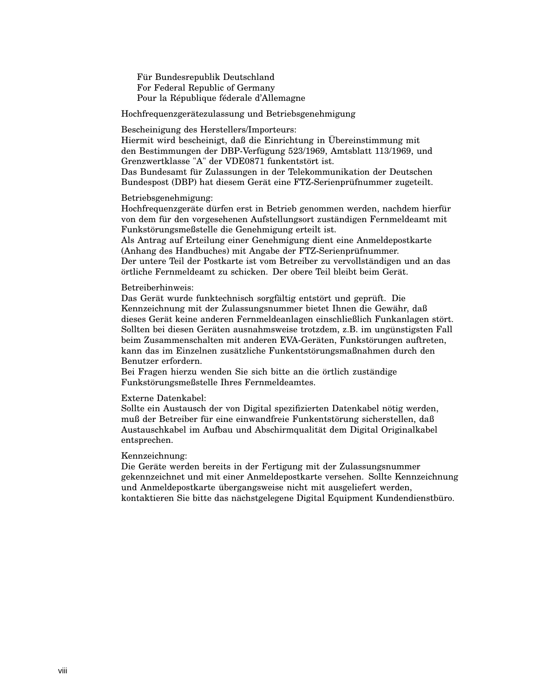Für Bundesrepublik Deutschland For Federal Republic of Germany Pour la République féderale d'Allemagne

Hochfrequenzgerätezulassung und Betriebsgenehmigung

Bescheinigung des Herstellers/Importeurs:

Hiermit wird bescheinigt, daß die Einrichtung in Übereinstimmung mit den Bestimmungen der DBP-Verfügung 523/1969, Amtsblatt 113/1969, und Grenzwertklasse "A" der VDE0871 funkentstört ist.

Das Bundesamt für Zulassungen in der Telekommunikation der Deutschen Bundespost (DBP) hat diesem Gerät eine FTZ-Serienprüfnummer zugeteilt.

### Betriebsgenehmigung:

Hochfrequenzgeräte dürfen erst in Betrieb genommen werden, nachdem hierfür von dem für den vorgesehenen Aufstellungsort zuständigen Fernmeldeamt mit Funkstörungsmeßstelle die Genehmigung erteilt ist.

Als Antrag auf Erteilung einer Genehmigung dient eine Anmeldepostkarte (Anhang des Handbuches) mit Angabe der FTZ-Serienprüfnummer. Der untere Teil der Postkarte ist vom Betreiber zu vervollständigen und an das örtliche Fernmeldeamt zu schicken. Der obere Teil bleibt beim Gerät.

### Betreiberhinweis:

Das Gerät wurde funktechnisch sorgfältig entstört und geprüft. Die Kennzeichnung mit der Zulassungsnummer bietet Ihnen die Gewähr, daß dieses Gerät keine anderen Fernmeldeanlagen einschließlich Funkanlagen stört. Sollten bei diesen Geräten ausnahmsweise trotzdem, z.B. im ungünstigsten Fall beim Zusammenschalten mit anderen EVA-Geräten, Funkstörungen auftreten, kann das im Einzelnen zusätzliche Funkentstörungsmaßnahmen durch den Benutzer erfordern.

Bei Fragen hierzu wenden Sie sich bitte an die örtlich zuständige Funkstörungsmeßstelle Ihres Fernmeldeamtes.

### Externe Datenkabel:

Sollte ein Austausch der von Digital spezifizierten Datenkabel nötig werden, muß der Betreiber für eine einwandfreie Funkentstörung sicherstellen, daß Austauschkabel im Aufbau und Abschirmqualität dem Digital Originalkabel entsprechen.

### Kennzeichnung:

Die Geräte werden bereits in der Fertigung mit der Zulassungsnummer gekennzeichnet und mit einer Anmeldepostkarte versehen. Sollte Kennzeichnung und Anmeldepostkarte übergangsweise nicht mit ausgeliefert werden, kontaktieren Sie bitte das nächstgelegene Digital Equipment Kundendienstbüro.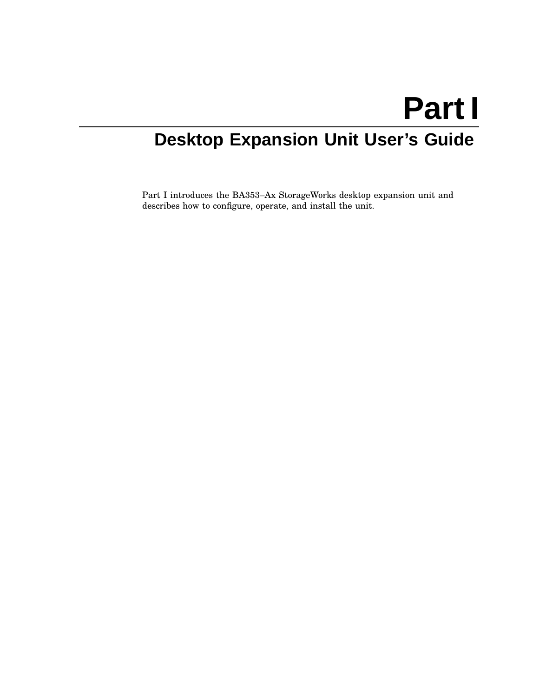# **Part I**

# **Desktop Expansion Unit User's Guide**

Part I introduces the BA353–Ax StorageWorks desktop expansion unit and describes how to configure, operate, and install the unit.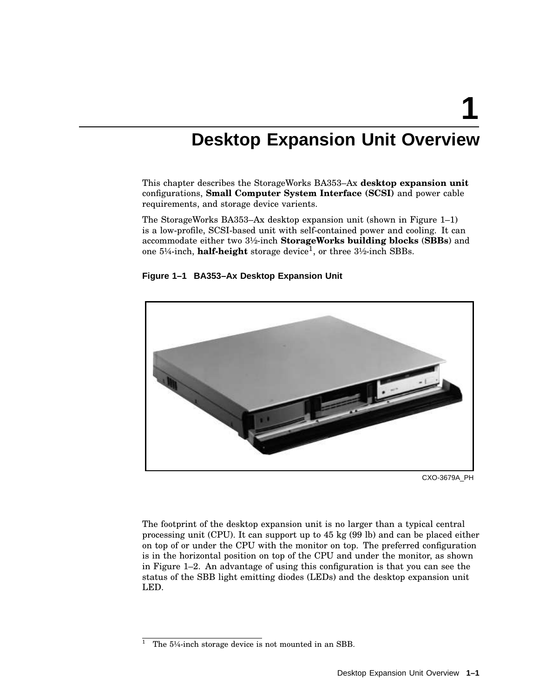**1**

# **Desktop Expansion Unit Overview**

This chapter describes the StorageWorks BA353–Ax **desktop expansion unit** configurations, **Small Computer System Interface (SCSI)** and power cable requirements, and storage device varients.

The StorageWorks BA353–Ax desktop expansion unit (shown in Figure 1–1) is a low-profile, SCSI-based unit with self-contained power and cooling. It can accommodate either two 3½-inch **StorageWorks building blocks** (**SBBs**) and one 5¼-inch, **half-height** storage device<sup>1</sup> , or three 3½-inch SBBs.





CXO-3679A\_PH

The footprint of the desktop expansion unit is no larger than a typical central processing unit (CPU). It can support up to 45 kg (99 lb) and can be placed either on top of or under the CPU with the monitor on top. The preferred configuration is in the horizontal position on top of the CPU and under the monitor, as shown in Figure 1–2. An advantage of using this configuration is that you can see the status of the SBB light emitting diodes (LEDs) and the desktop expansion unit LED.

<sup>&</sup>lt;sup>1</sup> The  $5\frac{1}{4}$ -inch storage device is not mounted in an SBB.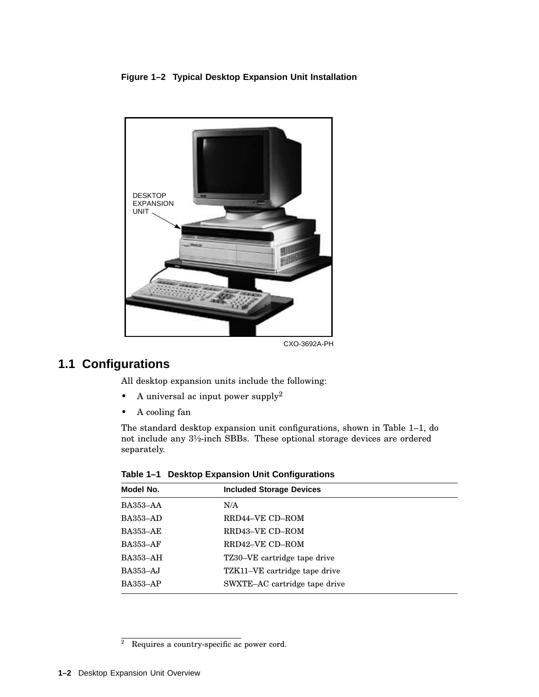### **Figure 1–2 Typical Desktop Expansion Unit Installation**



CXO-3692A-PH

# **1.1 Configurations**

All desktop expansion units include the following:

- A universal ac input power supply<sup>2</sup>
- A cooling fan

The standard desktop expansion unit configurations, shown in Table 1–1, do not include any 3½-inch SBBs. These optional storage devices are ordered separately.

| Model No.       | <b>Included Storage Devices</b> |  |
|-----------------|---------------------------------|--|
| BA353-AA        | N/A                             |  |
| <b>BA353-AD</b> | RRD44-VE CD-ROM                 |  |
| <b>BA353-AE</b> | RRD43-VE CD-ROM                 |  |
| <b>BA353-AF</b> | RRD42-VE CD-ROM                 |  |
| BA353-AH        | TZ30–VE cartridge tape drive    |  |
| <b>BA353-AJ</b> | TZK11–VE cartridge tape drive   |  |
| <b>BA353-AP</b> | SWXTE-AC cartridge tape drive   |  |
|                 |                                 |  |

**Table 1–1 Desktop Expansion Unit Configurations**

 $\overline{a}$  Requires a country-specific ac power cord.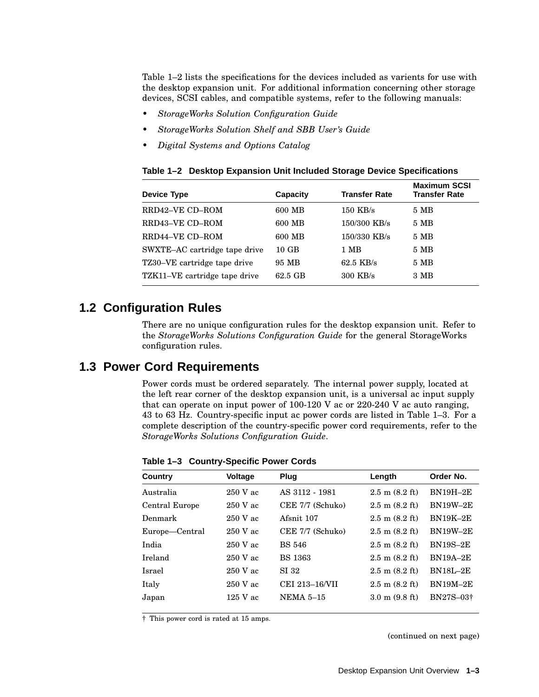Table 1–2 lists the specifications for the devices included as varients for use with the desktop expansion unit. For additional information concerning other storage devices, SCSI cables, and compatible systems, refer to the following manuals:

- *StorageWorks Solution Configuration Guide*
- *StorageWorks Solution Shelf and SBB User's Guide*
- *Digital Systems and Options Catalog*

| <b>Device Type</b>            | Capacity        | <b>Transfer Rate</b> | <b>Maximum SCSI</b><br><b>Transfer Rate</b> |
|-------------------------------|-----------------|----------------------|---------------------------------------------|
| RRD42-VE CD-ROM               | 600 MB          | $150$ KB/s           | 5 MB                                        |
| RRD43-VE CD-ROM               | 600 MB          | 150/300 KB/s         | 5 MB                                        |
| RRD44-VE CD-ROM               | 600 MB          | 150/330 KB/s         | $5\,MB$                                     |
| SWXTE-AC cartridge tape drive | $10 \text{ GB}$ | 1 MB                 | 5MB                                         |
| TZ30-VE cartridge tape drive  | 95 MB           | $62.5$ KB/s          | 5MB                                         |
| TZK11–VE cartridge tape drive | 62.5 GB         | $300$ KB/s           | 3 MB                                        |
|                               |                 |                      |                                             |

**Table 1–2 Desktop Expansion Unit Included Storage Device Specifications**

# **1.2 Configuration Rules**

There are no unique configuration rules for the desktop expansion unit. Refer to the *StorageWorks Solutions Configuration Guide* for the general StorageWorks configuration rules.

### **1.3 Power Cord Requirements**

Power cords must be ordered separately. The internal power supply, located at the left rear corner of the desktop expansion unit, is a universal ac input supply that can operate on input power of 100-120 V ac or 220-240 V ac auto ranging, 43 to 63 Hz. Country-specific input ac power cords are listed in Table 1–3. For a complete description of the country-specific power cord requirements, refer to the *StorageWorks Solutions Configuration Guide*.

**Table 1–3 Country-Specific Power Cords**

| Country        | <b>Voltage</b> | Plug             | Length                           | Order No.       |
|----------------|----------------|------------------|----------------------------------|-----------------|
| Australia      | 250 V ac       | AS 3112 - 1981   | $2.5 \text{ m} (8.2 \text{ ft})$ | $BN19H-2E$      |
| Central Europe | $250$ V ac     | CEE 7/7 (Schuko) | $2.5 \text{ m} (8.2 \text{ ft})$ | <b>BN19W-2E</b> |
| Denmark        | $250$ V ac     | Afsnit 107       | $2.5 \text{ m} (8.2 \text{ ft})$ | $BN19K-2E$      |
| Europe-Central | $250$ V ac     | CEE 7/7 (Schuko) | $2.5 \text{ m} (8.2 \text{ ft})$ | <b>BN19W-2E</b> |
| India          | $250$ V ac     | <b>BS 546</b>    | $2.5 \text{ m} (8.2 \text{ ft})$ | <b>BN19S-2E</b> |
| <b>Ireland</b> | $250$ V ac     | <b>BS</b> 1363   | $2.5 \text{ m} (8.2 \text{ ft})$ | $BN19A-2E$      |
| Israel         | $250$ V ac     | SI 32            | $2.5 \text{ m} (8.2 \text{ ft})$ | <b>BN18L-2E</b> |
| Italy          | $250$ V ac     | CEI 213-16/VII   | $2.5 \text{ m} (8.2 \text{ ft})$ | $BN19M-2E$      |
| Japan          | $125$ V ac     | <b>NEMA 5-15</b> | $3.0 \text{ m}$ (9.8 ft)         | BN27S-03+       |

† This power cord is rated at 15 amps.

(continued on next page)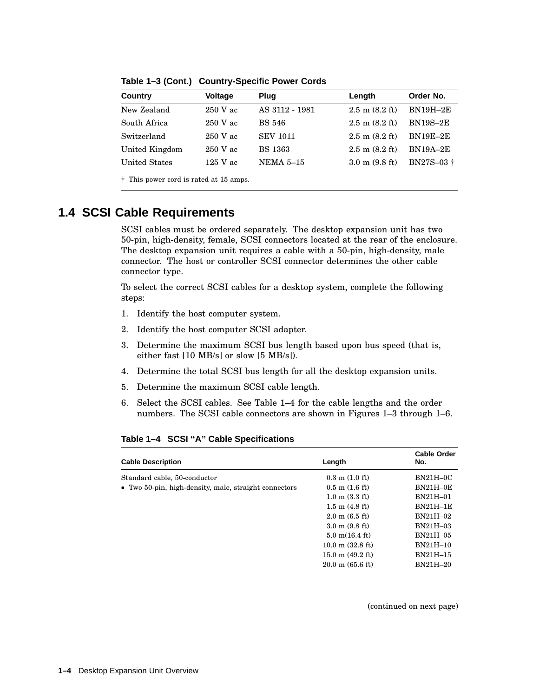| Country              | <b>Voltage</b> | Plug            | Length                           | Order No.  |
|----------------------|----------------|-----------------|----------------------------------|------------|
| New Zealand          | $250$ V ac     | AS 3112 - 1981  | $2.5 \text{ m} (8.2 \text{ ft})$ | $BN19H-2E$ |
| South Africa         | $250$ V ac     | <b>BS 546</b>   | $2.5 \text{ m} (8.2 \text{ ft})$ | $BN19S-2E$ |
| Switzerland          | $250$ V ac     | <b>SEV 1011</b> | $2.5 \text{ m} (8.2 \text{ ft})$ | $BN19E-2E$ |
| United Kingdom       | $250$ V ac     | <b>BS</b> 1363  | $2.5 \text{ m} (8.2 \text{ ft})$ | $BN19A-2E$ |
| <b>United States</b> | $125$ V ac     | NEMA $5-15$     | $3.0 \text{ m}$ (9.8 ft)         | BN27S-03 + |

**Table 1–3 (Cont.) Country-Specific Power Cords**

† This power cord is rated at 15 amps.

## **1.4 SCSI Cable Requirements**

SCSI cables must be ordered separately. The desktop expansion unit has two 50-pin, high-density, female, SCSI connectors located at the rear of the enclosure. The desktop expansion unit requires a cable with a 50-pin, high-density, male connector. The host or controller SCSI connector determines the other cable connector type.

To select the correct SCSI cables for a desktop system, complete the following steps:

- 1. Identify the host computer system.
- 2. Identify the host computer SCSI adapter.
- 3. Determine the maximum SCSI bus length based upon bus speed (that is, either fast [10 MB/s] or slow [5 MB/s]).
- 4. Determine the total SCSI bus length for all the desktop expansion units.
- 5. Determine the maximum SCSI cable length.
- 6. Select the SCSI cables. See Table 1–4 for the cable lengths and the order numbers. The SCSI cable connectors are shown in Figures 1–3 through 1–6.

#### **Table 1–4 SCSI ''A'' Cable Specifications**

| <b>Cable Description</b>                              | Length                           | <b>Cable Order</b><br>No. |
|-------------------------------------------------------|----------------------------------|---------------------------|
| Standard cable, 50-conductor                          | $0.3 \text{ m} (1.0 \text{ ft})$ | $BN21H-0C$                |
| • Two 50-pin, high-density, male, straight connectors | $0.5$ m $(1.6$ ft)               | $BN21H-0E$                |
|                                                       | $1.0 \text{ m} (3.3 \text{ ft})$ | BN21H-01                  |
|                                                       | $1.5 \text{ m}$ (4.8 ft)         | $BN21H-1E$                |
|                                                       | $2.0 \text{ m} (6.5 \text{ ft})$ | BN21H-02                  |
|                                                       | $3.0 \text{ m}$ (9.8 ft)         | BN21H-03                  |
|                                                       | $5.0 \text{ m}(16.4 \text{ ft})$ | BN21H-05                  |
|                                                       | $10.0$ m $(32.8 \text{ ft})$     | BN21H-10                  |
|                                                       | $15.0 \text{ m}$ (49.2 ft)       | BN21H-15                  |
|                                                       | $20.0 \text{ m}$ (65.6 ft)       | BN21H-20                  |

(continued on next page)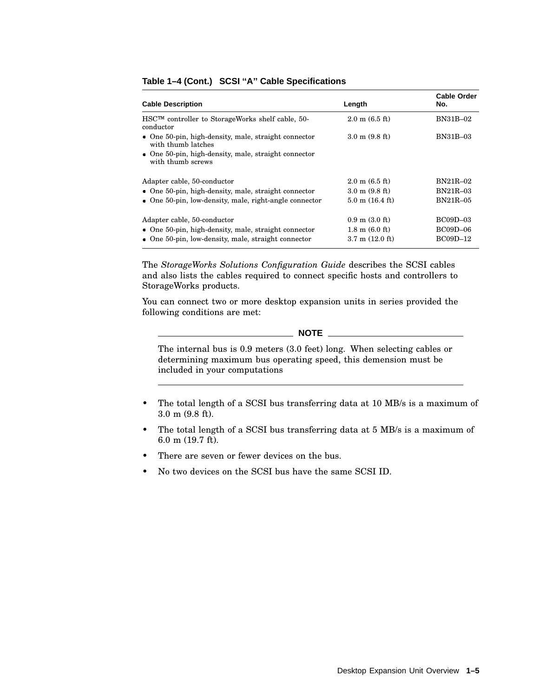| <b>Cable Description</b>                                                           | Length                           | <b>Cable Order</b><br>No. |
|------------------------------------------------------------------------------------|----------------------------------|---------------------------|
| HSC™ controller to StorageWorks shelf cable, 50-<br>conductor                      | $2.0 \text{ m} (6.5 \text{ ft})$ | BN31B-02                  |
| $\bullet$ One 50-pin, high-density, male, straight connector<br>with thumb latches | $3.0 \text{ m}$ (9.8 ft)         | <b>BN31B-03</b>           |
| $\bullet$ One 50-pin, high-density, male, straight connector<br>with thumb screws  |                                  |                           |
| Adapter cable, 50-conductor                                                        | $2.0 \text{ m}$ (6.5 ft)         | BN21R-02                  |
| $\bullet$ One 50-pin, high-density, male, straight connector                       | $3.0 \text{ m}$ (9.8 ft)         | <b>BN21R-03</b>           |
| $\bullet$ One 50-pin, low-density, male, right-angle connector                     | $5.0 \text{ m}$ (16.4 ft)        | BN21R-05                  |
| Adapter cable, 50-conductor                                                        | $0.9 \text{ m}$ (3.0 ft)         | BC09D-03                  |
| $\bullet$ One 50-pin, high-density, male, straight connector                       | $1.8 \text{ m}$ (6.0 ft)         | $BC09D-06$                |
| • One $50$ -pin, low-density, male, straight connector                             | $3.7 \text{ m}$ (12.0 ft)        | <b>BC09D-12</b>           |

### **Table 1–4 (Cont.) SCSI ''A'' Cable Specifications**

The *StorageWorks Solutions Configuration Guide* describes the SCSI cables and also lists the cables required to connect specific hosts and controllers to StorageWorks products.

You can connect two or more desktop expansion units in series provided the following conditions are met:

### **NOTE**

The internal bus is 0.9 meters (3.0 feet) long. When selecting cables or determining maximum bus operating speed, this demension must be included in your computations

- The total length of a SCSI bus transferring data at 10 MB/s is a maximum of 3.0 m (9.8 ft).
- The total length of a SCSI bus transferring data at 5 MB/s is a maximum of 6.0 m (19.7 ft).
- There are seven or fewer devices on the bus.
- No two devices on the SCSI bus have the same SCSI ID.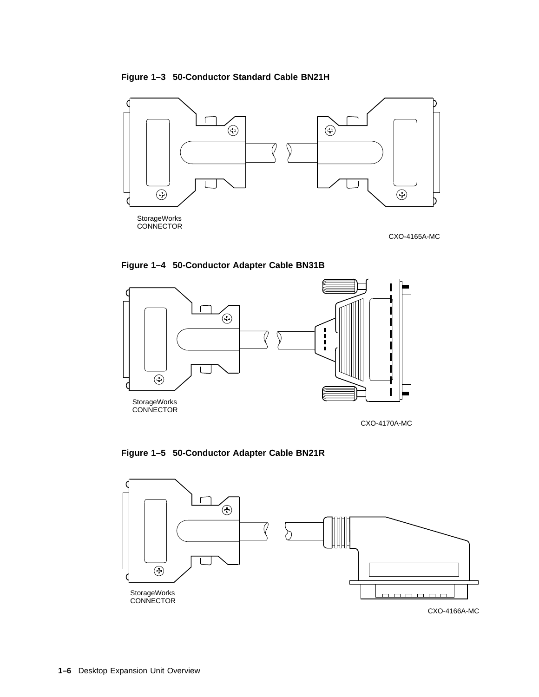**Figure 1–3 50-Conductor Standard Cable BN21H**



**Figure 1–4 50-Conductor Adapter Cable BN31B**



CXO-4170A-MC



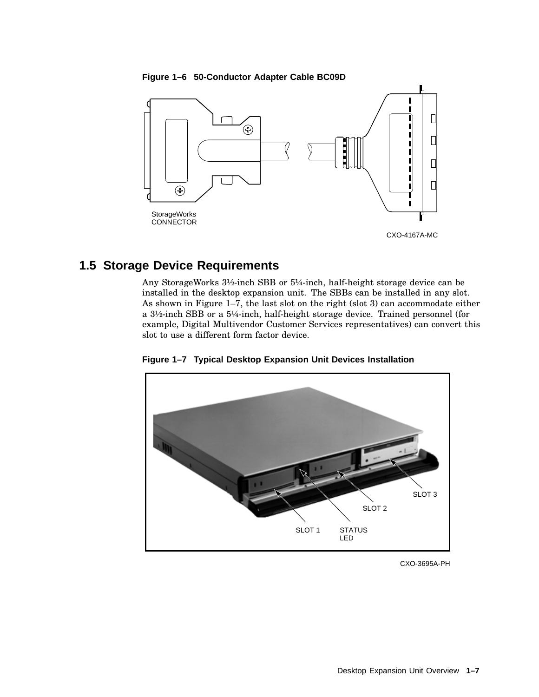



## **1.5 Storage Device Requirements**

Any StorageWorks 3½-inch SBB or 5¼-inch, half-height storage device can be installed in the desktop expansion unit. The SBBs can be installed in any slot. As shown in Figure 1–7, the last slot on the right (slot 3) can accommodate either a 3½-inch SBB or a 5¼-inch, half-height storage device. Trained personnel (for example, Digital Multivendor Customer Services representatives) can convert this slot to use a different form factor device.





CXO-3695A-PH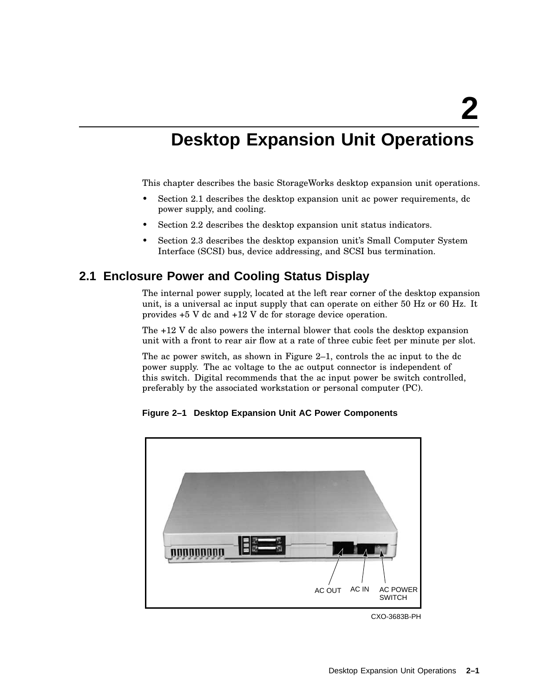# **Desktop Expansion Unit Operations**

This chapter describes the basic StorageWorks desktop expansion unit operations.

- Section 2.1 describes the desktop expansion unit ac power requirements, dc power supply, and cooling.
- Section 2.2 describes the desktop expansion unit status indicators.
- Section 2.3 describes the desktop expansion unit's Small Computer System Interface (SCSI) bus, device addressing, and SCSI bus termination.

# **2.1 Enclosure Power and Cooling Status Display**

The internal power supply, located at the left rear corner of the desktop expansion unit, is a universal ac input supply that can operate on either 50 Hz or 60 Hz. It provides +5 V dc and +12 V dc for storage device operation.

The +12 V dc also powers the internal blower that cools the desktop expansion unit with a front to rear air flow at a rate of three cubic feet per minute per slot.

The ac power switch, as shown in Figure 2–1, controls the ac input to the dc power supply. The ac voltage to the ac output connector is independent of this switch. Digital recommends that the ac input power be switch controlled, preferably by the associated workstation or personal computer (PC).

**Figure 2–1 Desktop Expansion Unit AC Power Components**



CXO-3683B-PH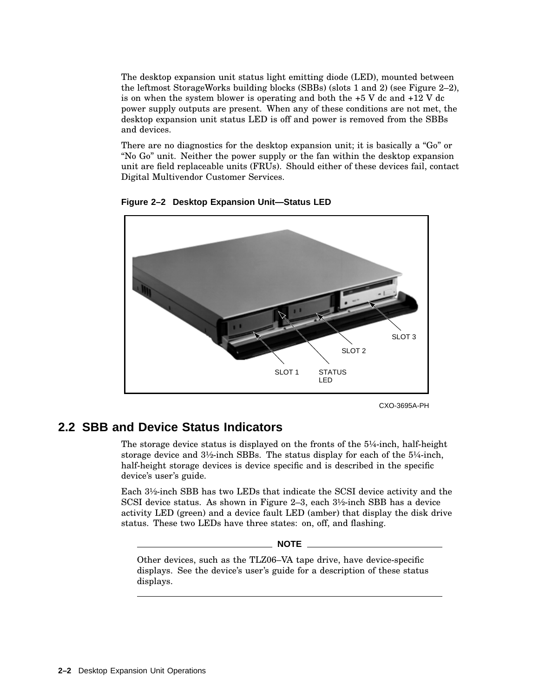The desktop expansion unit status light emitting diode (LED), mounted between the leftmost StorageWorks building blocks (SBBs) (slots 1 and 2) (see Figure 2–2), is on when the system blower is operating and both the  $+5$  V dc and  $+12$  V dc power supply outputs are present. When any of these conditions are not met, the desktop expansion unit status LED is off and power is removed from the SBBs and devices.

There are no diagnostics for the desktop expansion unit; it is basically a "Go" or ''No Go'' unit. Neither the power supply or the fan within the desktop expansion unit are field replaceable units (FRUs). Should either of these devices fail, contact Digital Multivendor Customer Services.



**Figure 2–2 Desktop Expansion Unit—Status LED**

CXO-3695A-PH

## **2.2 SBB and Device Status Indicators**

The storage device status is displayed on the fronts of the 5¼-inch, half-height storage device and 3½-inch SBBs. The status display for each of the 5¼-inch, half-height storage devices is device specific and is described in the specific device's user's guide.

Each 3½-inch SBB has two LEDs that indicate the SCSI device activity and the SCSI device status. As shown in Figure 2–3, each 3½-inch SBB has a device activity LED (green) and a device fault LED (amber) that display the disk drive status. These two LEDs have three states: on, off, and flashing.

**NOTE**

Other devices, such as the TLZ06–VA tape drive, have device-specific displays. See the device's user's guide for a description of these status displays.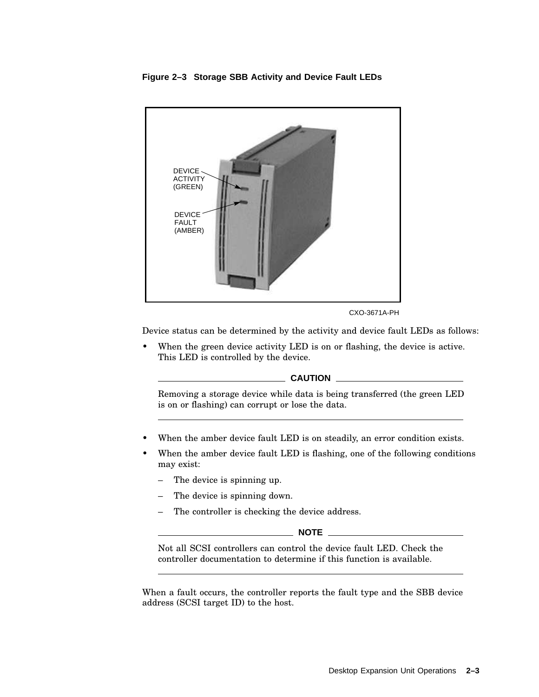



CXO-3671A-PH

Device status can be determined by the activity and device fault LEDs as follows:

When the green device activity LED is on or flashing, the device is active. This LED is controlled by the device.

### **CAUTION**

Removing a storage device while data is being transferred (the green LED is on or flashing) can corrupt or lose the data.

- When the amber device fault LED is on steadily, an error condition exists.
- When the amber device fault LED is flashing, one of the following conditions may exist:
	- The device is spinning up.
	- The device is spinning down.
	- The controller is checking the device address.

**NOTE**

Not all SCSI controllers can control the device fault LED. Check the controller documentation to determine if this function is available.

When a fault occurs, the controller reports the fault type and the SBB device address (SCSI target ID) to the host.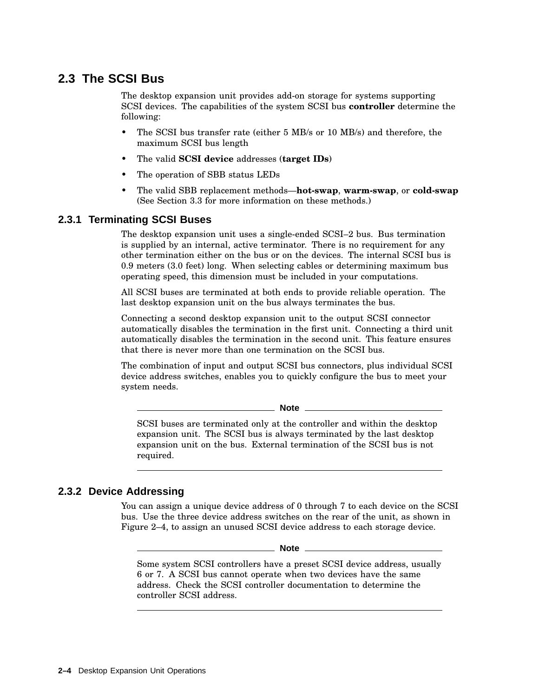# **2.3 The SCSI Bus**

The desktop expansion unit provides add-on storage for systems supporting SCSI devices. The capabilities of the system SCSI bus **controller** determine the following:

- The SCSI bus transfer rate (either 5 MB/s or 10 MB/s) and therefore, the maximum SCSI bus length
- The valid **SCSI device** addresses (**target IDs**)
- The operation of SBB status LEDs
- The valid SBB replacement methods—**hot-swap**, **warm-swap**, or **cold-swap** (See Section 3.3 for more information on these methods.)

### **2.3.1 Terminating SCSI Buses**

The desktop expansion unit uses a single-ended SCSI–2 bus. Bus termination is supplied by an internal, active terminator. There is no requirement for any other termination either on the bus or on the devices. The internal SCSI bus is 0.9 meters (3.0 feet) long. When selecting cables or determining maximum bus operating speed, this dimension must be included in your computations.

All SCSI buses are terminated at both ends to provide reliable operation. The last desktop expansion unit on the bus always terminates the bus.

Connecting a second desktop expansion unit to the output SCSI connector automatically disables the termination in the first unit. Connecting a third unit automatically disables the termination in the second unit. This feature ensures that there is never more than one termination on the SCSI bus.

The combination of input and output SCSI bus connectors, plus individual SCSI device address switches, enables you to quickly configure the bus to meet your system needs.

**Note**

SCSI buses are terminated only at the controller and within the desktop expansion unit. The SCSI bus is always terminated by the last desktop expansion unit on the bus. External termination of the SCSI bus is not required.

### **2.3.2 Device Addressing**

You can assign a unique device address of 0 through 7 to each device on the SCSI bus. Use the three device address switches on the rear of the unit, as shown in Figure 2–4, to assign an unused SCSI device address to each storage device.

**Note**

Some system SCSI controllers have a preset SCSI device address, usually 6 or 7. A SCSI bus cannot operate when two devices have the same address. Check the SCSI controller documentation to determine the controller SCSI address.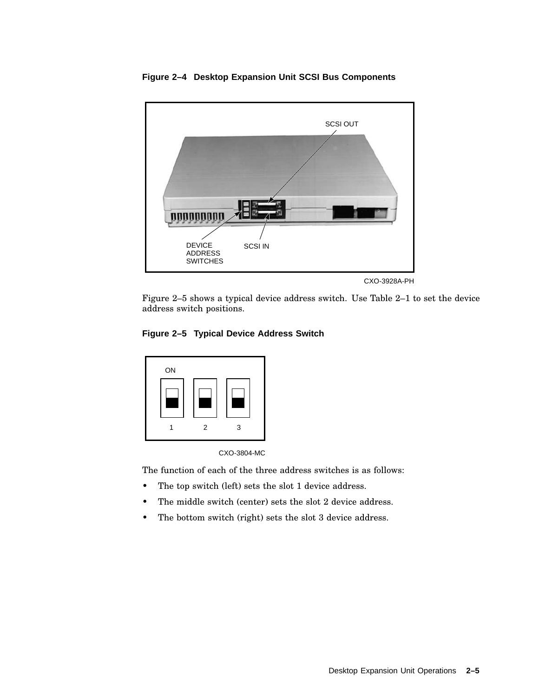

**Figure 2–4 Desktop Expansion Unit SCSI Bus Components**

Figure 2–5 shows a typical device address switch. Use Table 2–1 to set the device address switch positions.

### **Figure 2–5 Typical Device Address Switch**





The function of each of the three address switches is as follows:

- The top switch (left) sets the slot 1 device address.
- The middle switch (center) sets the slot 2 device address.
- The bottom switch (right) sets the slot 3 device address.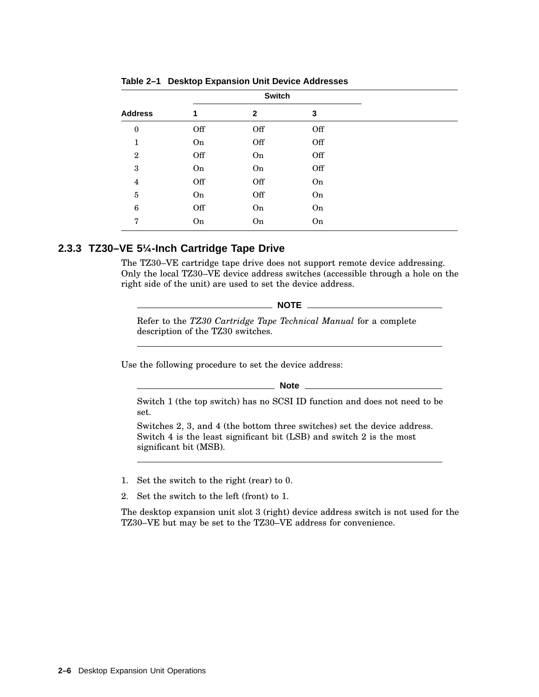|                  |     | <b>Switch</b> |     |  |
|------------------|-----|---------------|-----|--|
| <b>Address</b>   | 1   | $\mathbf{2}$  | 3   |  |
| $\boldsymbol{0}$ | Off | Off           | Off |  |
| 1                | On  | Off           | Off |  |
| $\overline{2}$   | Off | On            | Off |  |
| 3                | On  | On            | Off |  |
| 4                | Off | Off           | On  |  |
| 5                | On  | Off           | On  |  |
| 6                | Off | On            | On  |  |
| 7                | On  | On            | On  |  |

|  | Table 2-1 Desktop Expansion Unit Device Addresses |  |  |  |
|--|---------------------------------------------------|--|--|--|
|--|---------------------------------------------------|--|--|--|

### **2.3.3 TZ30–VE 5¼-Inch Cartridge Tape Drive**

The TZ30–VE cartridge tape drive does not support remote device addressing. Only the local TZ30–VE device address switches (accessible through a hole on the right side of the unit) are used to set the device address.

 $\_$  NOTE  $\_$ 

Refer to the *TZ30 Cartridge Tape Technical Manual* for a complete description of the TZ30 switches.

Use the following procedure to set the device address:

**Note**

Switch 1 (the top switch) has no SCSI ID function and does not need to be set.

Switches 2, 3, and 4 (the bottom three switches) set the device address. Switch 4 is the least significant bit (LSB) and switch 2 is the most significant bit (MSB).

1. Set the switch to the right (rear) to 0.

2. Set the switch to the left (front) to 1.

The desktop expansion unit slot 3 (right) device address switch is not used for the TZ30–VE but may be set to the TZ30–VE address for convenience.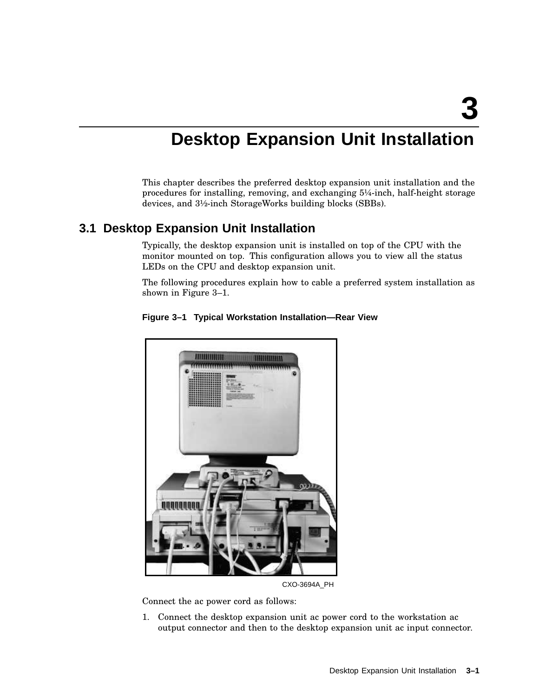# **Desktop Expansion Unit Installation**

This chapter describes the preferred desktop expansion unit installation and the procedures for installing, removing, and exchanging 5¼-inch, half-height storage devices, and 3½-inch StorageWorks building blocks (SBBs).

# **3.1 Desktop Expansion Unit Installation**

Typically, the desktop expansion unit is installed on top of the CPU with the monitor mounted on top. This configuration allows you to view all the status LEDs on the CPU and desktop expansion unit.

The following procedures explain how to cable a preferred system installation as shown in Figure 3–1.



### **Figure 3–1 Typical Workstation Installation—Rear View**

CXO-3694A\_PH

Connect the ac power cord as follows:

1. Connect the desktop expansion unit ac power cord to the workstation ac output connector and then to the desktop expansion unit ac input connector.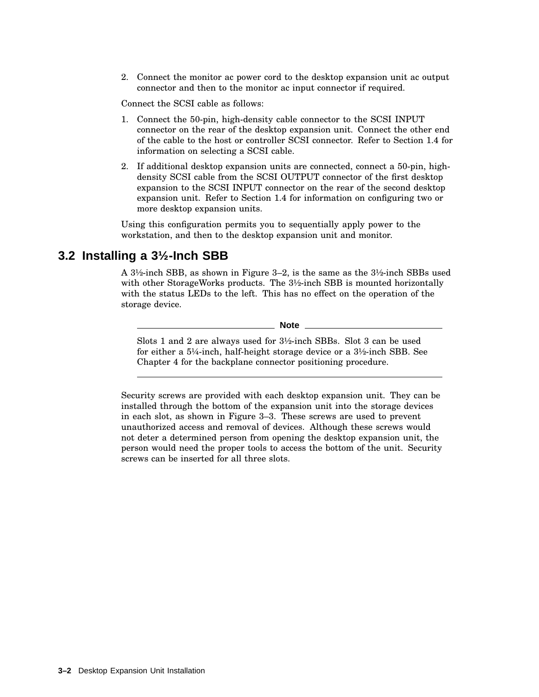2. Connect the monitor ac power cord to the desktop expansion unit ac output connector and then to the monitor ac input connector if required.

Connect the SCSI cable as follows:

- 1. Connect the 50-pin, high-density cable connector to the SCSI INPUT connector on the rear of the desktop expansion unit. Connect the other end of the cable to the host or controller SCSI connector. Refer to Section 1.4 for information on selecting a SCSI cable.
- 2. If additional desktop expansion units are connected, connect a 50-pin, highdensity SCSI cable from the SCSI OUTPUT connector of the first desktop expansion to the SCSI INPUT connector on the rear of the second desktop expansion unit. Refer to Section 1.4 for information on configuring two or more desktop expansion units.

Using this configuration permits you to sequentially apply power to the workstation, and then to the desktop expansion unit and monitor.

### **3.2 Installing a 3½-Inch SBB**

A 3½-inch SBB, as shown in Figure 3–2, is the same as the 3½-inch SBBs used with other StorageWorks products. The 3½-inch SBB is mounted horizontally with the status LEDs to the left. This has no effect on the operation of the storage device.

**Note**

Slots 1 and 2 are always used for 3½-inch SBBs. Slot 3 can be used for either a 5¼-inch, half-height storage device or a 3½-inch SBB. See Chapter 4 for the backplane connector positioning procedure.

Security screws are provided with each desktop expansion unit. They can be installed through the bottom of the expansion unit into the storage devices in each slot, as shown in Figure 3–3. These screws are used to prevent unauthorized access and removal of devices. Although these screws would not deter a determined person from opening the desktop expansion unit, the person would need the proper tools to access the bottom of the unit. Security screws can be inserted for all three slots.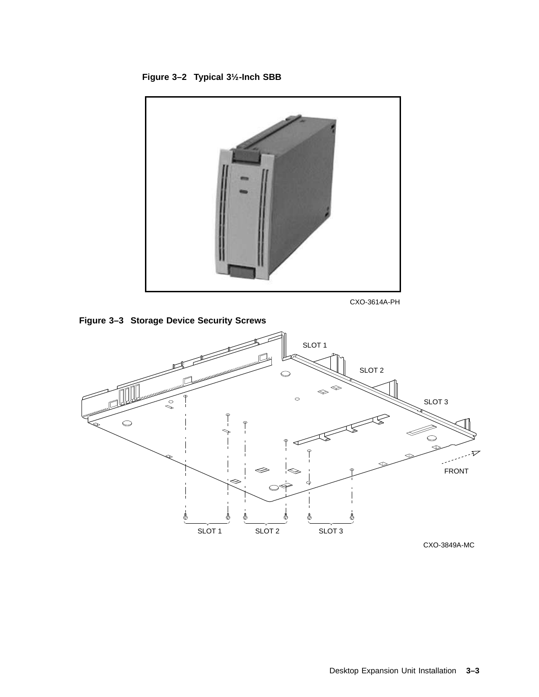



CXO-3614A-PH



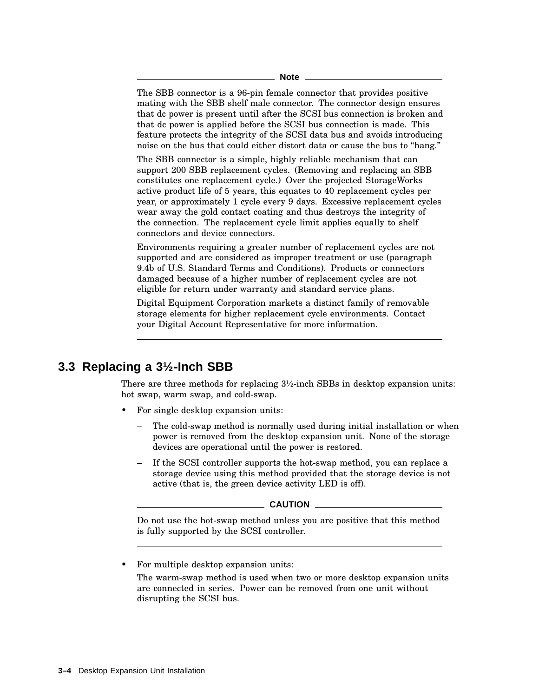The SBB connector is a 96-pin female connector that provides positive mating with the SBB shelf male connector. The connector design ensures that dc power is present until after the SCSI bus connection is broken and that dc power is applied before the SCSI bus connection is made. This feature protects the integrity of the SCSI data bus and avoids introducing noise on the bus that could either distort data or cause the bus to ''hang.''

The SBB connector is a simple, highly reliable mechanism that can support 200 SBB replacement cycles. (Removing and replacing an SBB constitutes one replacement cycle.) Over the projected StorageWorks active product life of 5 years, this equates to 40 replacement cycles per year, or approximately 1 cycle every 9 days. Excessive replacement cycles wear away the gold contact coating and thus destroys the integrity of the connection. The replacement cycle limit applies equally to shelf connectors and device connectors.

Environments requiring a greater number of replacement cycles are not supported and are considered as improper treatment or use (paragraph 9.4b of U.S. Standard Terms and Conditions). Products or connectors damaged because of a higher number of replacement cycles are not eligible for return under warranty and standard service plans.

Digital Equipment Corporation markets a distinct family of removable storage elements for higher replacement cycle environments. Contact your Digital Account Representative for more information.

## **3.3 Replacing a 3½-Inch SBB**

There are three methods for replacing 3½-inch SBBs in desktop expansion units: hot swap, warm swap, and cold-swap.

- For single desktop expansion units:
	- The cold-swap method is normally used during initial installation or when power is removed from the desktop expansion unit. None of the storage devices are operational until the power is restored.
	- If the SCSI controller supports the hot-swap method, you can replace a storage device using this method provided that the storage device is not active (that is, the green device activity LED is off).

#### **CAUTION**

Do not use the hot-swap method unless you are positive that this method is fully supported by the SCSI controller.

• For multiple desktop expansion units:

The warm-swap method is used when two or more desktop expansion units are connected in series. Power can be removed from one unit without disrupting the SCSI bus.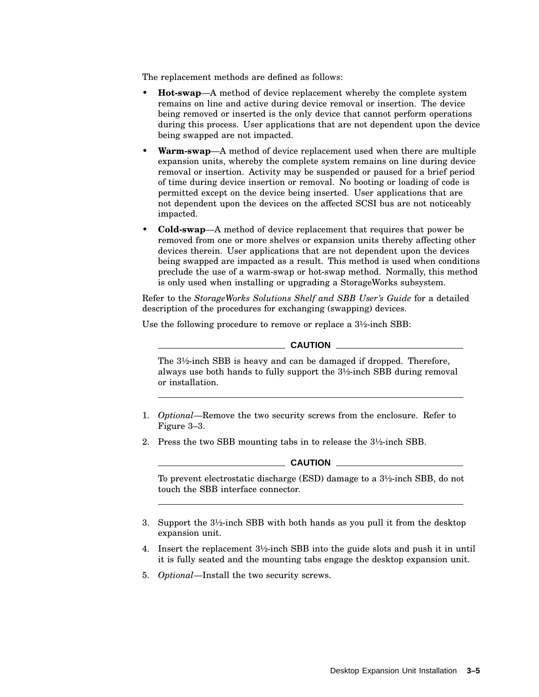The replacement methods are defined as follows:

- **Hot-swap**—A method of device replacement whereby the complete system remains on line and active during device removal or insertion. The device being removed or inserted is the only device that cannot perform operations during this process. User applications that are not dependent upon the device being swapped are not impacted.
- **Warm-swap**—A method of device replacement used when there are multiple expansion units, whereby the complete system remains on line during device removal or insertion. Activity may be suspended or paused for a brief period of time during device insertion or removal. No booting or loading of code is permitted except on the device being inserted. User applications that are not dependent upon the devices on the affected SCSI bus are not noticeably impacted.
- **Cold-swap**—A method of device replacement that requires that power be removed from one or more shelves or expansion units thereby affecting other devices therein. User applications that are not dependent upon the devices being swapped are impacted as a result. This method is used when conditions preclude the use of a warm-swap or hot-swap method. Normally, this method is only used when installing or upgrading a StorageWorks subsystem.

Refer to the *StorageWorks Solutions Shelf and SBB User's Guide* for a detailed description of the procedures for exchanging (swapping) devices.

Use the following procedure to remove or replace a 3½-inch SBB:

### $\_$  CAUTION  $\_$

The 3½-inch SBB is heavy and can be damaged if dropped. Therefore, always use both hands to fully support the 3½-inch SBB during removal or installation.

- 1. *Optional*—Remove the two security screws from the enclosure. Refer to Figure 3–3.
- 2. Press the two SBB mounting tabs in to release the 3½-inch SBB.

### **CAUTION**

To prevent electrostatic discharge (ESD) damage to a 3½-inch SBB, do not touch the SBB interface connector.

- 3. Support the 3½-inch SBB with both hands as you pull it from the desktop expansion unit.
- 4. Insert the replacement 3½-inch SBB into the guide slots and push it in until it is fully seated and the mounting tabs engage the desktop expansion unit.
- 5. *Optional*—Install the two security screws.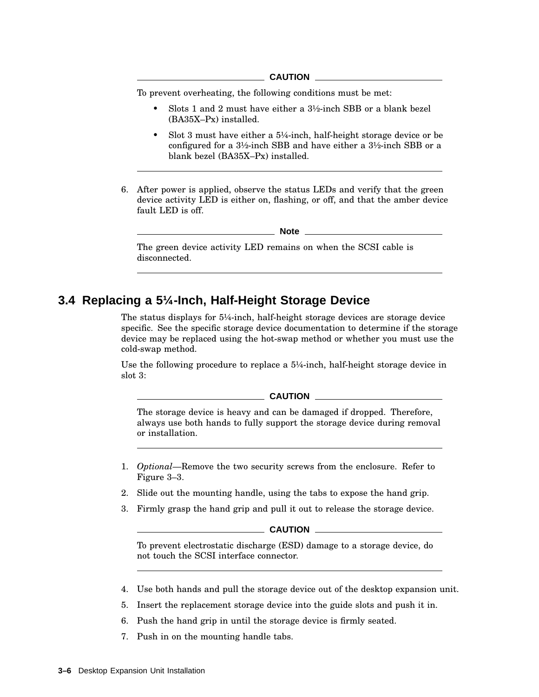To prevent overheating, the following conditions must be met:

- Slots 1 and 2 must have either a 3½-inch SBB or a blank bezel (BA35X–Px) installed.
- Slot 3 must have either a 5¼-inch, half-height storage device or be configured for a 3½-inch SBB and have either a 3½-inch SBB or a blank bezel (BA35X–Px) installed.
- 6. After power is applied, observe the status LEDs and verify that the green device activity LED is either on, flashing, or off, and that the amber device fault LED is off.

**Note**

The green device activity LED remains on when the SCSI cable is disconnected.

### **3.4 Replacing a 5¼-Inch, Half-Height Storage Device**

The status displays for 5¼-inch, half-height storage devices are storage device specific. See the specific storage device documentation to determine if the storage device may be replaced using the hot-swap method or whether you must use the cold-swap method.

Use the following procedure to replace a 5¼-inch, half-height storage device in slot 3:

**CAUTION**

The storage device is heavy and can be damaged if dropped. Therefore, always use both hands to fully support the storage device during removal or installation.

- 1. *Optional*—Remove the two security screws from the enclosure. Refer to Figure 3–3.
- 2. Slide out the mounting handle, using the tabs to expose the hand grip.
- 3. Firmly grasp the hand grip and pull it out to release the storage device.

#### **CAUTION**

To prevent electrostatic discharge (ESD) damage to a storage device, do not touch the SCSI interface connector.

- 4. Use both hands and pull the storage device out of the desktop expansion unit.
- 5. Insert the replacement storage device into the guide slots and push it in.
- 6. Push the hand grip in until the storage device is firmly seated.
- 7. Push in on the mounting handle tabs.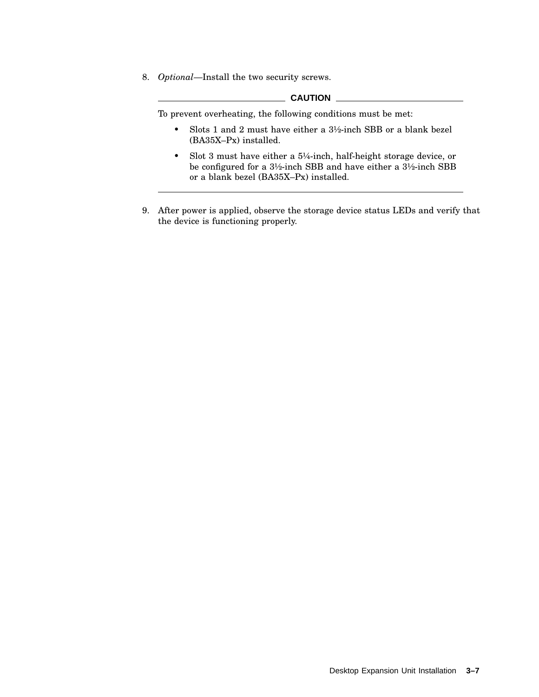8. *Optional*—Install the two security screws.

### **CAUTION**

To prevent overheating, the following conditions must be met:

- Slots 1 and 2 must have either a 3½-inch SBB or a blank bezel (BA35X–Px) installed.
- Slot 3 must have either a 5¼-inch, half-height storage device, or be configured for a 3½-inch SBB and have either a 3½-inch SBB or a blank bezel (BA35X–Px) installed.
- 9. After power is applied, observe the storage device status LEDs and verify that the device is functioning properly.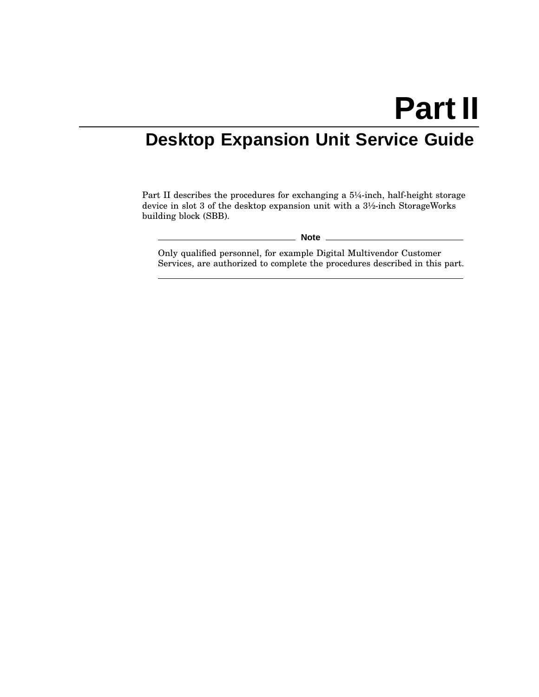# **Part II**

# **Desktop Expansion Unit Service Guide**

Part II describes the procedures for exchanging a 5¼-inch, half-height storage device in slot 3 of the desktop expansion unit with a 3½-inch StorageWorks building block (SBB).

**Note** \_\_\_\_\_\_\_

Only qualified personnel, for example Digital Multivendor Customer Services, are authorized to complete the procedures described in this part.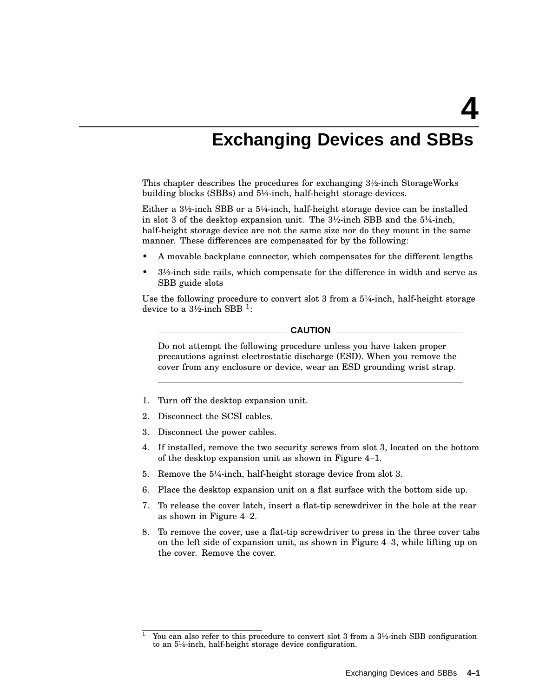# **Exchanging Devices and SBBs**

This chapter describes the procedures for exchanging 3½-inch StorageWorks building blocks (SBBs) and 5¼-inch, half-height storage devices.

Either a  $3\frac{1}{2}$ -inch SBB or a  $5\frac{1}{4}$ -inch, half-height storage device can be installed in slot 3 of the desktop expansion unit. The  $3\frac{1}{2}$ -inch SBB and the  $5\frac{1}{4}$ -inch, half-height storage device are not the same size nor do they mount in the same manner. These differences are compensated for by the following:

- A movable backplane connector, which compensates for the different lengths
- 3½-inch side rails, which compensate for the difference in width and serve as SBB guide slots

Use the following procedure to convert slot 3 from a  $5\frac{1}{4}$ -inch, half-height storage device to a 3½-inch SBB  $^1$ :

### **CAUTION**

Do not attempt the following procedure unless you have taken proper precautions against electrostatic discharge (ESD). When you remove the cover from any enclosure or device, wear an ESD grounding wrist strap.

- 1. Turn off the desktop expansion unit.
- 2. Disconnect the SCSI cables.
- 3. Disconnect the power cables.
- 4. If installed, remove the two security screws from slot 3, located on the bottom of the desktop expansion unit as shown in Figure 4–1.
- 5. Remove the 5¼-inch, half-height storage device from slot 3.
- 6. Place the desktop expansion unit on a flat surface with the bottom side up.
- 7. To release the cover latch, insert a flat-tip screwdriver in the hole at the rear as shown in Figure 4–2.
- 8. To remove the cover, use a flat-tip screwdriver to press in the three cover tabs on the left side of expansion unit, as shown in Figure 4–3, while lifting up on the cover. Remove the cover.

You can also refer to this procedure to convert slot  $3$  from a  $3\frac{1}{2}$ -inch SBB configuration to an 5¼-inch, half-height storage device configuration.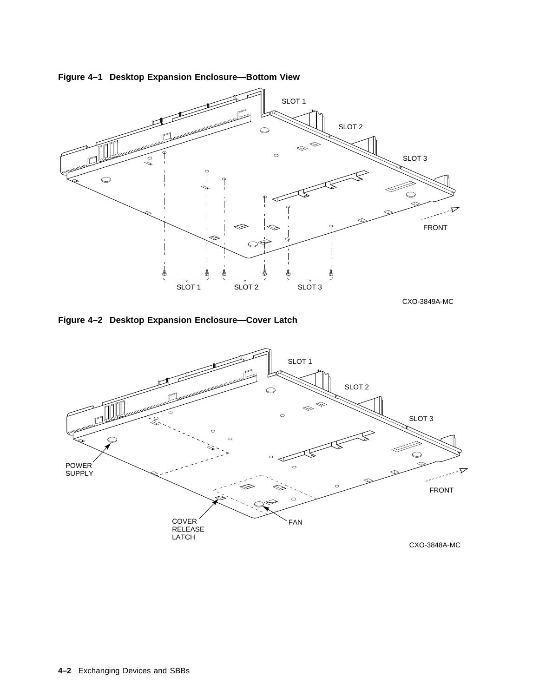

**Figure 4–1 Desktop Expansion Enclosure—Bottom View**



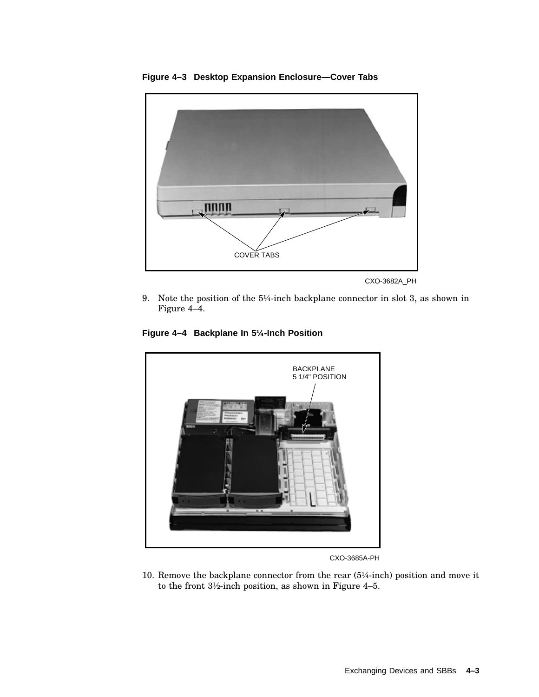

**Figure 4–3 Desktop Expansion Enclosure—Cover Tabs**

9. Note the position of the 5¼-inch backplane connector in slot 3, as shown in Figure 4–4.





CXO-3685A-PH

10. Remove the backplane connector from the rear (5¼-inch) position and move it to the front 3½-inch position, as shown in Figure 4–5.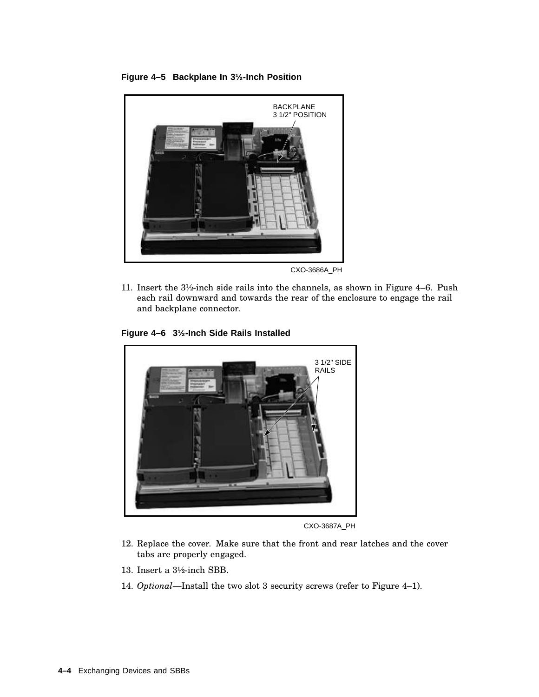**Figure 4–5 Backplane In 3½-Inch Position**



CXO-3686A\_PH

11. Insert the 3½-inch side rails into the channels, as shown in Figure 4–6. Push each rail downward and towards the rear of the enclosure to engage the rail and backplane connector.

**Figure 4–6 3½-Inch Side Rails Installed**



CXO-3687A\_PH

- 12. Replace the cover. Make sure that the front and rear latches and the cover tabs are properly engaged.
- 13. Insert a 3½-inch SBB.
- 14. *Optional*—Install the two slot 3 security screws (refer to Figure 4–1).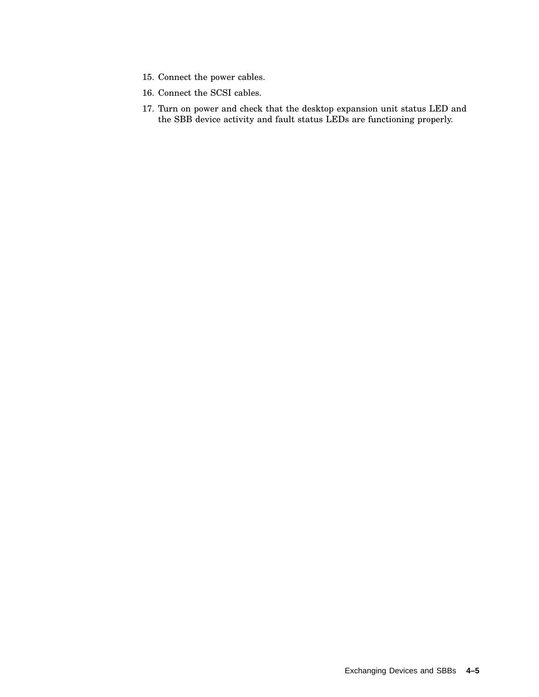- 15. Connect the power cables.
- 16. Connect the SCSI cables.
- 17. Turn on power and check that the desktop expansion unit status LED and the SBB device activity and fault status LEDs are functioning properly.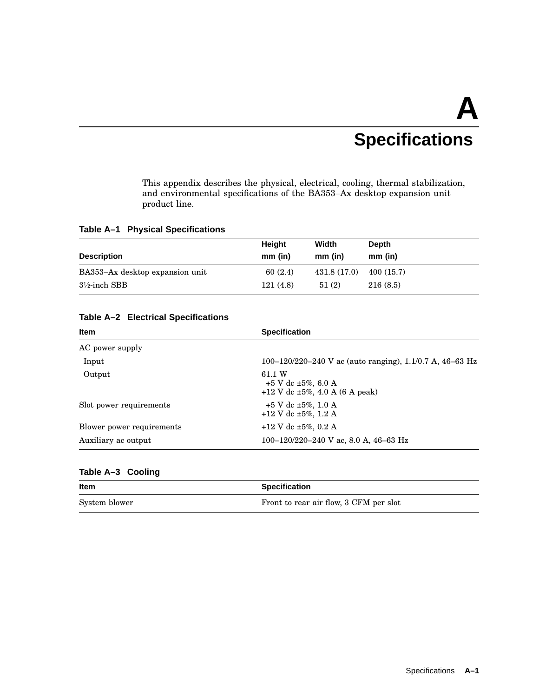# **A Specifications**

This appendix describes the physical, electrical, cooling, thermal stabilization, and environmental specifications of the BA353–Ax desktop expansion unit product line.

### **Table A–1 Physical Specifications**

|                                 | Height    | Width        | Depth     |
|---------------------------------|-----------|--------------|-----------|
| <b>Description</b>              | $mm$ (in) | $mm$ (in)    | $mm$ (in) |
| BA353-Ax desktop expansion unit | 60(2.4)   | 431.8 (17.0) | 400(15.7) |
| $3\frac{1}{2}$ -inch SBB        | 121(4.8)  | 51(2)        | 216(8.5)  |

### **Table A–2 Electrical Specifications**

| <b>Item</b>               | <b>Specification</b>                                                             |  |  |
|---------------------------|----------------------------------------------------------------------------------|--|--|
| AC power supply           |                                                                                  |  |  |
| Input                     | 100–120/220–240 V ac (auto ranging), 1.1/0.7 A, 46–63 Hz                         |  |  |
| Output                    | 61.1 W<br>$+5$ V dc $\pm 5\%$ , 6.0 A<br>$+12$ V dc $\pm 5\%$ , 4.0 A (6 A peak) |  |  |
| Slot power requirements   | $+5$ V dc $\pm 5\%$ , 1.0 A<br>$+12$ V dc $\pm 5\%$ , 1.2 A                      |  |  |
| Blower power requirements | $+12$ V dc $\pm 5\%$ , 0.2 A                                                     |  |  |
| Auxiliary ac output       | 100–120/220–240 V ac, 8.0 A, 46–63 Hz                                            |  |  |
|                           |                                                                                  |  |  |

### **Table A–3 Cooling**

| Item          | <b>Specification</b>                   |
|---------------|----------------------------------------|
| System blower | Front to rear air flow, 3 CFM per slot |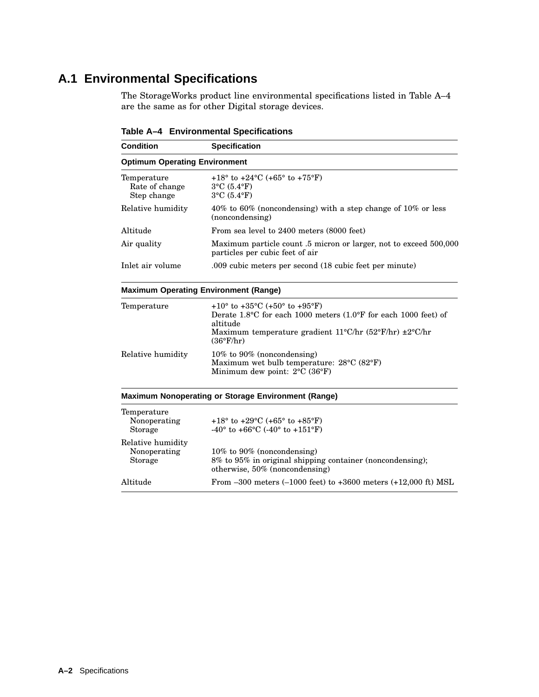# **A.1 Environmental Specifications**

The StorageWorks product line environmental specifications listed in Table A–4 are the same as for other Digital storage devices.

| <b>Condition</b>                             | <b>Specification</b>                                                                                                           |  |  |
|----------------------------------------------|--------------------------------------------------------------------------------------------------------------------------------|--|--|
| <b>Optimum Operating Environment</b>         |                                                                                                                                |  |  |
| Temperature<br>Rate of change<br>Step change | $+18^{\circ}$ to $+24^{\circ}$ C (+65° to $+75^{\circ}$ F)<br>$3^{\circ}$ C $(5.4^{\circ}F)$<br>$3^{\circ}$ C $(5.4^{\circ}F)$ |  |  |
| Relative humidity                            | $40\%$ to 60% (noncondensing) with a step change of 10% or less<br>(noncondensing)                                             |  |  |
| Altitude                                     | From sea level to 2400 meters (8000 feet)                                                                                      |  |  |
| Air quality                                  | Maximum particle count .5 micron or larger, not to exceed 500,000<br>particles per cubic feet of air                           |  |  |
| Inlet air volume                             | .009 cubic meters per second (18 cubic feet per minute)                                                                        |  |  |

**Table A–4 Environmental Specifications**

### **Maximum Operating Environment (Range)**

| Temperature       | $+10^{\circ}$ to $+35^{\circ}$ C (+50° to $+95^{\circ}$ F)<br>Derate 1.8 °C for each 1000 meters $(1.0\textdegree F$ for each 1000 feet) of<br>altitude<br>Maximum temperature gradient $11^{\circ}$ C/hr $(52^{\circ}$ F/hr) $\pm 2^{\circ}$ C/hr<br>$(36^{\circ}F/hr)$ |
|-------------------|--------------------------------------------------------------------------------------------------------------------------------------------------------------------------------------------------------------------------------------------------------------------------|
| Relative humidity | $10\%$ to 90% (noncondensing)<br>Maximum wet bulb temperature: 28°C (82°F)<br>Minimum dew point: $2^{\circ}$ C (36 $^{\circ}$ F)                                                                                                                                         |

### **Maximum Nonoperating or Storage Environment (Range)**

| Temperature<br>Nonoperating<br>Storage       | +18 $\degree$ to +29 $\degree$ C (+65 $\degree$ to +85 $\degree$ F)<br>$-40^{\circ}$ to $+66^{\circ}$ C ( $-40^{\circ}$ to $+151^{\circ}$ F) |
|----------------------------------------------|----------------------------------------------------------------------------------------------------------------------------------------------|
| Relative humidity<br>Nonoperating<br>Storage | $10\%$ to 90% (noncondensing)<br>8% to 95% in original shipping container (noncondensing);<br>otherwise, 50% (noncondensing)                 |
| Altitude                                     | From $-300$ meters $(-1000$ feet) to $+3600$ meters $(+12,000$ ft) MSL                                                                       |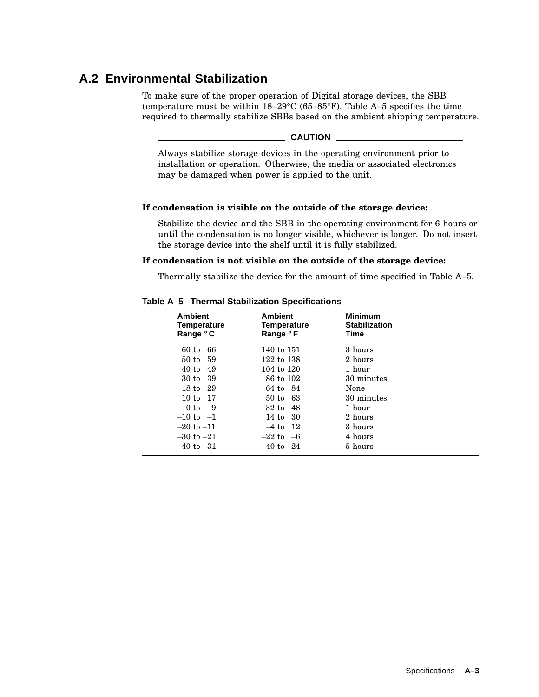# **A.2 Environmental Stabilization**

To make sure of the proper operation of Digital storage devices, the SBB temperature must be within 18–29°C (65–85°F). Table A–5 specifies the time required to thermally stabilize SBBs based on the ambient shipping temperature.

### **CAUTION**

Always stabilize storage devices in the operating environment prior to installation or operation. Otherwise, the media or associated electronics may be damaged when power is applied to the unit.

### **If condensation is visible on the outside of the storage device:**

Stabilize the device and the SBB in the operating environment for 6 hours or until the condensation is no longer visible, whichever is longer. Do not insert the storage device into the shelf until it is fully stabilized.

### **If condensation is not visible on the outside of the storage device:**

Thermally stabilize the device for the amount of time specified in Table A–5.

| <b>Ambient</b><br><b>Temperature</b><br>Range °C | <b>Ambient</b><br>Temperature<br>Range °F | <b>Minimum</b><br><b>Stabilization</b><br>Time |  |
|--------------------------------------------------|-------------------------------------------|------------------------------------------------|--|
| 66<br>$60$ to                                    | 140 to 151                                | 3 hours                                        |  |
| 50 to 59                                         | 122 to 138                                | 2 hours                                        |  |
| -49<br>$40$ to                                   | 104 to 120                                | 1 hour                                         |  |
| 30 to 39                                         | 86 to 102                                 | 30 minutes                                     |  |
| 18 to 29                                         | 64 to 84                                  | None                                           |  |
| 10 to 17                                         | 50 to 63                                  | 30 minutes                                     |  |
| 0 to<br>- 9                                      | 32 to 48                                  | 1 hour                                         |  |
| $-10$ to $-1$                                    | 14 to 30                                  | 2 hours                                        |  |
| $-20$ to $-11$                                   | $-4$ to $12$                              | 3 hours                                        |  |
| $-30$ to $-21$                                   | $-22$ to $-6$                             | 4 hours                                        |  |
| $-40$ to $-31$                                   | $-40$ to $-24$                            | 5 hours                                        |  |

#### **Table A–5 Thermal Stabilization Specifications**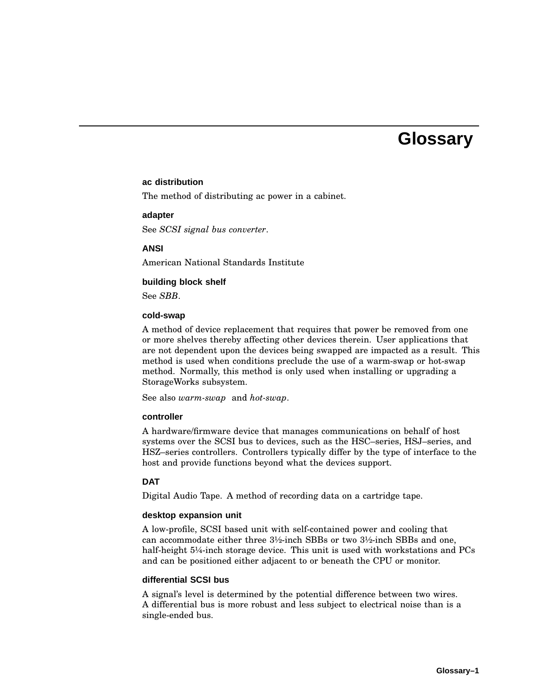# **Glossary**

### **ac distribution**

The method of distributing ac power in a cabinet.

#### **adapter**

See *SCSI signal bus converter*.

#### **ANSI**

American National Standards Institute

### **building block shelf**

See *SBB*.

### **cold-swap**

A method of device replacement that requires that power be removed from one or more shelves thereby affecting other devices therein. User applications that are not dependent upon the devices being swapped are impacted as a result. This method is used when conditions preclude the use of a warm-swap or hot-swap method. Normally, this method is only used when installing or upgrading a StorageWorks subsystem.

See also *warm-swap* and *hot-swap*.

### **controller**

A hardware/firmware device that manages communications on behalf of host systems over the SCSI bus to devices, such as the HSC–series, HSJ–series, and HSZ–series controllers. Controllers typically differ by the type of interface to the host and provide functions beyond what the devices support.

### **DAT**

Digital Audio Tape. A method of recording data on a cartridge tape.

#### **desktop expansion unit**

A low-profile, SCSI based unit with self-contained power and cooling that can accommodate either three 3½-inch SBBs or two 3½-inch SBBs and one, half-height 5¼-inch storage device. This unit is used with workstations and PCs and can be positioned either adjacent to or beneath the CPU or monitor.

### **differential SCSI bus**

A signal's level is determined by the potential difference between two wires. A differential bus is more robust and less subject to electrical noise than is a single-ended bus.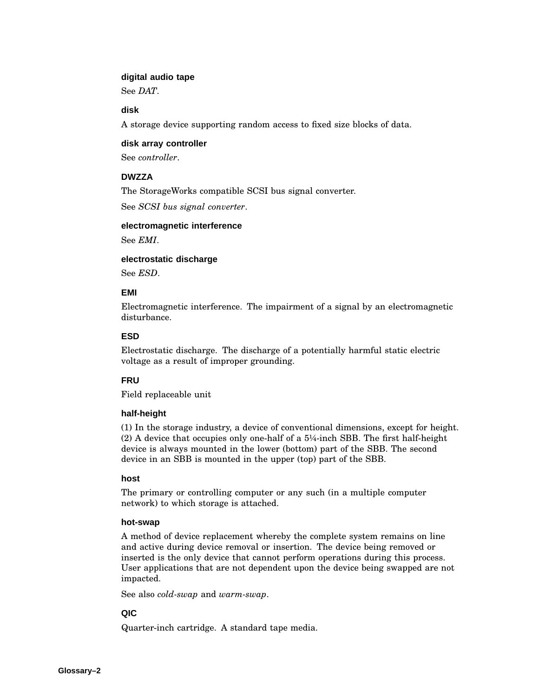### **digital audio tape**

See *DAT*.

### **disk**

A storage device supporting random access to fixed size blocks of data.

### **disk array controller**

See *controller*.

### **DWZZA**

The StorageWorks compatible SCSI bus signal converter.

See *SCSI bus signal converter*.

### **electromagnetic interference**

See *EMI*.

### **electrostatic discharge**

See *ESD*.

### **EMI**

Electromagnetic interference. The impairment of a signal by an electromagnetic disturbance.

### **ESD**

Electrostatic discharge. The discharge of a potentially harmful static electric voltage as a result of improper grounding.

### **FRU**

Field replaceable unit

### **half-height**

(1) In the storage industry, a device of conventional dimensions, except for height. (2) A device that occupies only one-half of a 5¼-inch SBB. The first half-height device is always mounted in the lower (bottom) part of the SBB. The second device in an SBB is mounted in the upper (top) part of the SBB.

### **host**

The primary or controlling computer or any such (in a multiple computer network) to which storage is attached.

### **hot-swap**

A method of device replacement whereby the complete system remains on line and active during device removal or insertion. The device being removed or inserted is the only device that cannot perform operations during this process. User applications that are not dependent upon the device being swapped are not impacted.

See also *cold-swap* and *warm-swap*.

### **QIC**

Quarter-inch cartridge. A standard tape media.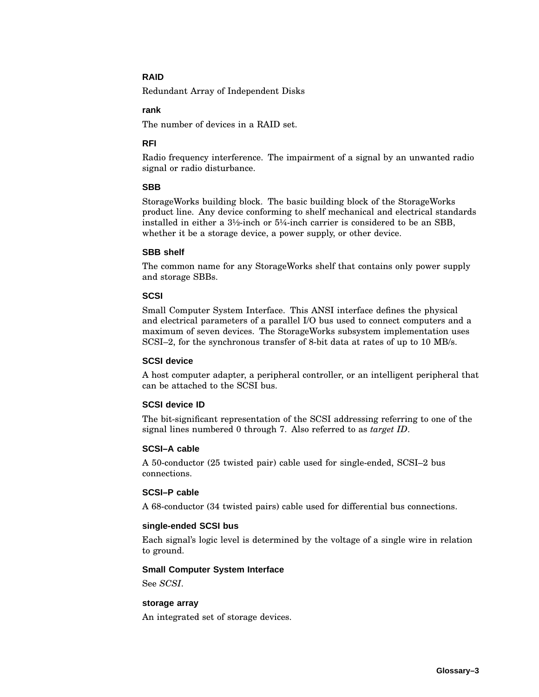### **RAID**

Redundant Array of Independent Disks

### **rank**

The number of devices in a RAID set.

### **RFI**

Radio frequency interference. The impairment of a signal by an unwanted radio signal or radio disturbance.

### **SBB**

StorageWorks building block. The basic building block of the StorageWorks product line. Any device conforming to shelf mechanical and electrical standards installed in either a  $3\frac{1}{2}$ -inch or  $5\frac{1}{4}$ -inch carrier is considered to be an SBB, whether it be a storage device, a power supply, or other device.

### **SBB shelf**

The common name for any StorageWorks shelf that contains only power supply and storage SBBs.

### **SCSI**

Small Computer System Interface. This ANSI interface defines the physical and electrical parameters of a parallel I/O bus used to connect computers and a maximum of seven devices. The StorageWorks subsystem implementation uses SCSI–2, for the synchronous transfer of 8-bit data at rates of up to 10 MB/s.

### **SCSI device**

A host computer adapter, a peripheral controller, or an intelligent peripheral that can be attached to the SCSI bus.

### **SCSI device ID**

The bit-significant representation of the SCSI addressing referring to one of the signal lines numbered 0 through 7. Also referred to as *target ID*.

### **SCSI–A cable**

A 50-conductor (25 twisted pair) cable used for single-ended, SCSI–2 bus connections.

### **SCSI–P cable**

A 68-conductor (34 twisted pairs) cable used for differential bus connections.

### **single-ended SCSI bus**

Each signal's logic level is determined by the voltage of a single wire in relation to ground.

### **Small Computer System Interface**

See *SCSI*.

### **storage array**

An integrated set of storage devices.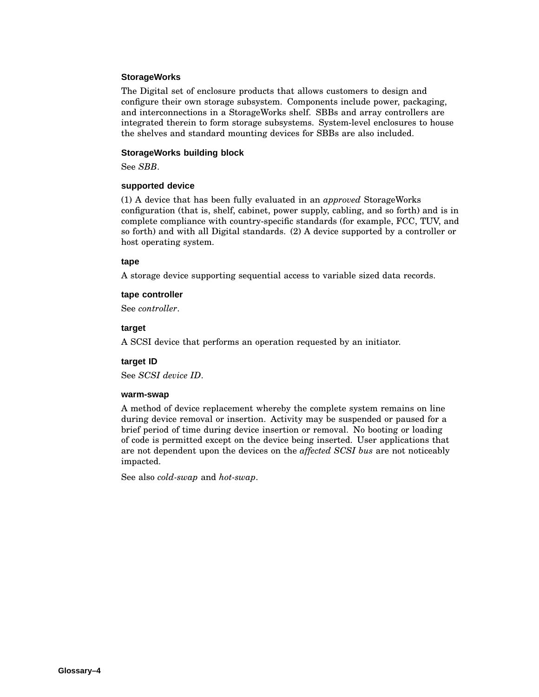### **StorageWorks**

The Digital set of enclosure products that allows customers to design and configure their own storage subsystem. Components include power, packaging, and interconnections in a StorageWorks shelf. SBBs and array controllers are integrated therein to form storage subsystems. System-level enclosures to house the shelves and standard mounting devices for SBBs are also included.

### **StorageWorks building block**

See *SBB*.

### **supported device**

(1) A device that has been fully evaluated in an *approved* StorageWorks configuration (that is, shelf, cabinet, power supply, cabling, and so forth) and is in complete compliance with country-specific standards (for example, FCC, TUV, and so forth) and with all Digital standards. (2) A device supported by a controller or host operating system.

### **tape**

A storage device supporting sequential access to variable sized data records.

### **tape controller**

See *controller*.

### **target**

A SCSI device that performs an operation requested by an initiator.

### **target ID**

See *SCSI device ID*.

### **warm-swap**

A method of device replacement whereby the complete system remains on line during device removal or insertion. Activity may be suspended or paused for a brief period of time during device insertion or removal. No booting or loading of code is permitted except on the device being inserted. User applications that are not dependent upon the devices on the *affected SCSI bus* are not noticeably impacted.

See also *cold-swap* and *hot-swap*.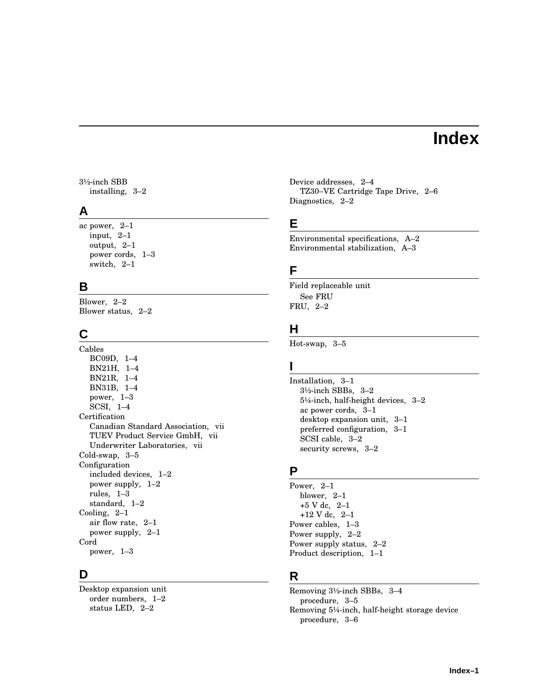# **Index**

3½-inch SBB installing, 3–2

### **A**

ac power, 2–1 input, 2–1 output, 2–1 power cords, 1–3 switch, 2–1

### **B**

Blower, 2–2 Blower status, 2–2

# **C**

Cables BC09D, 1–4 BN21H, 1–4 BN21R, 1–4 BN31B, 1–4 power, 1–3 SCSI, 1–4 **Certification** Canadian Standard Association, vii TUEV Product Service GmbH, vii Underwriter Laboratories, vii Cold-swap, 3–5 Configuration included devices, 1–2 power supply, 1–2 rules, 1–3 standard, 1–2 Cooling, 2–1 air flow rate, 2–1 power supply, 2–1 Cord power, 1–3

## **D**

Desktop expansion unit order numbers, 1–2 status LED, 2–2

Device addresses, 2–4 TZ30–VE Cartridge Tape Drive, 2–6 Diagnostics, 2–2

### **E**

Environmental specifications, A–2 Environmental stabilization, A–3

## **F**

Field replaceable unit See FRU FRU, 2–2

# **H**

Hot-swap, 3–5

### **I**

Installation, 3–1 3½-inch SBBs, 3–2 5¼-inch, half-height devices, 3–2 ac power cords, 3–1 desktop expansion unit, 3–1 preferred configuration, 3–1 SCSI cable, 3–2 security screws, 3–2

### **P**

Power, 2–1 blower, 2–1 +5 V dc, 2–1 +12 V dc, 2–1 Power cables, 1–3 Power supply, 2–2 Power supply status, 2–2 Product description, 1–1

# **R**

Removing 3½-inch SBBs, 3–4 procedure, 3–5 Removing 5¼-inch, half-height storage device procedure, 3–6